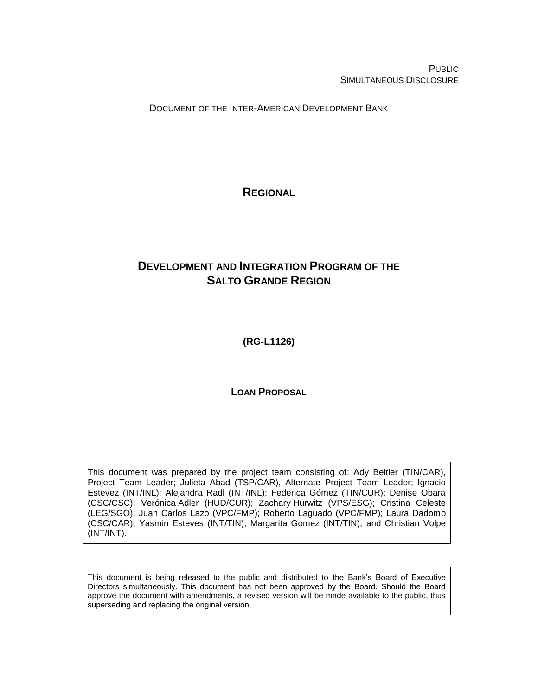PUBLIC SIMULTANEOUS DISCLOSURE

DOCUMENT OF THE INTER-AMERICAN DEVELOPMENT BANK

<span id="page-0-0"></span>**REGIONAL**

# **DEVELOPMENT AND INTEGRATION PROGRAM OF THE SALTO GRANDE REGION**

<span id="page-0-1"></span>**(RG-L1126)**

**LOAN PROPOSAL**

This document was prepared by the project team consisting of: Ady Beitler (TIN/CAR), Project Team Leader; Julieta Abad (TSP/CAR), Alternate Project Team Leader; Ignacio Estevez (INT/INL); Alejandra Radl (INT/INL); Federica Gómez (TIN/CUR); Denise Obara (CSC/CSC); Verónica Adler (HUD/CUR); Zachary Hurwitz (VPS/ESG); Cristina Celeste (LEG/SGO); Juan Carlos Lazo (VPC/FMP); Roberto Laguado (VPC/FMP); Laura Dadomo (CSC/CAR); Yasmin Esteves (INT/TIN); Margarita Gomez (INT/TIN); and Christian Volpe (INT/INT).

This document is being released to the public and distributed to the Bank's Board of Executive Directors simultaneously. This document has not been approved by the Board. Should the Board approve the document with amendments, a revised version will be made available to the public, thus superseding and replacing the original version.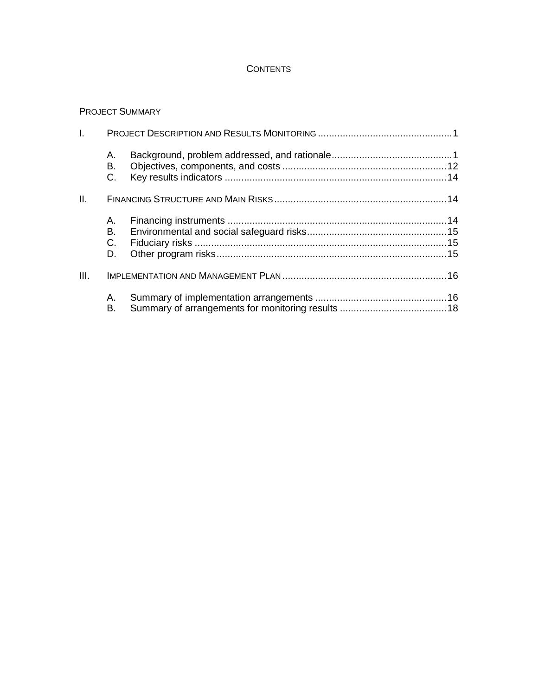## **CONTENTS**

### PROJECT SUMMARY

| $\mathbf{L}$ |                      |  |
|--------------|----------------------|--|
|              | А.<br>В.<br>C.       |  |
| II.          |                      |  |
|              | А.<br>В.<br>C.<br>D. |  |
| III.         |                      |  |
|              | А.<br>В.             |  |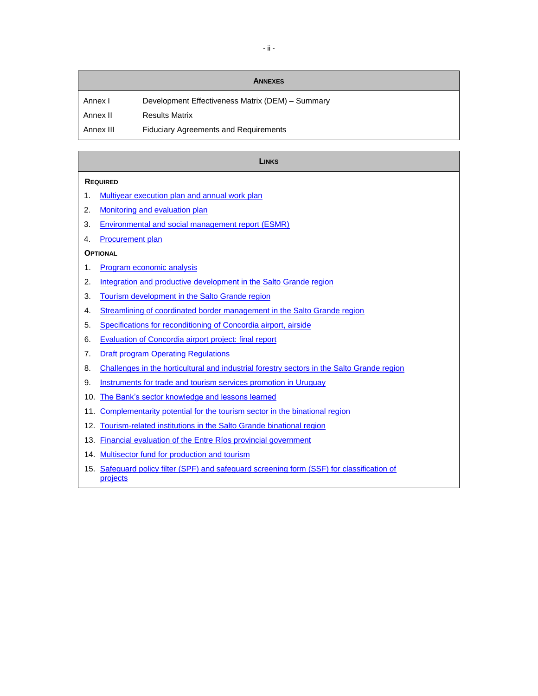| <b>ANNEXES</b> |                                                  |  |  |  |  |  |  |  |
|----------------|--------------------------------------------------|--|--|--|--|--|--|--|
| Annex I        | Development Effectiveness Matrix (DEM) - Summary |  |  |  |  |  |  |  |
| Annex II       | <b>Results Matrix</b>                            |  |  |  |  |  |  |  |
| Annex III      | <b>Fiduciary Agreements and Requirements</b>     |  |  |  |  |  |  |  |

#### **LINKS**

#### **REQUIRED**

- 1. [Multiyear execution plan](http://idbdocs.iadb.org/wsdocs/getDocument.aspx?DOCNUM=EZSHARE-567986568-18) and annual work plan
- 2. [Monitoring and evaluation plan](http://idbdocs.iadb.org/wsdocs/getDocument.aspx?DOCNUM=EZSHARE-567986568-21)
- 3. [Environmental and social management report \(ESMR\)](http://idbdocs.iadb.org/wsdocs/getDocument.aspx?DOCNUM=EZSHARE-567986568-35)
- 4. [Procurement plan](http://idbdocs.iadb.org/wsdocs/getDocument.aspx?DOCNUM=EZSHARE-567986568-23)

#### **OPTIONAL**

- 1. [Program economic analysis](http://idbdocs.iadb.org/wsdocs/getDocument.aspx?DOCNUM=EZSHARE-567986568-25)
- 2. [Integration and productive development in the Salto Grande region](http://idbdocs.iadb.org/wsdocs/getDocument.aspx?DOCNUM=EZSHARE-567986568-8)
- 3. [Tourism development in the Salto Grande region](http://idbdocs.iadb.org/wsdocs/getDocument.aspx?DOCNUM=EZSHARE-567986568-9)
- 4. [Streamlining of coordinated border management in the Salto Grande region](http://idbdocs.iadb.org/wsdocs/getDocument.aspx?DOCNUM=EZSHARE-567986568-10)
- 5. [Specifications for reconditioning](http://idbdocs.iadb.org/wsdocs/getDocument.aspx?DOCNUM=EZSHARE-567986568-11) of Concordia airport, airside
- 6. [Evaluation of Concordia airport project: final report](http://idbdocs.iadb.org/wsdocs/getDocument.aspx?DOCNUM=EZSHARE-567986568-12)
- 7. [Draft program Operating Regulations](http://idbdocs.iadb.org/wsdocs/getDocument.aspx?DOCNUM=EZSHARE-567986568-13)
- 8. [Challenges in the horticultural and industrial forestry sectors in the Salto Grande region](http://idbdocs.iadb.org/wsdocs/getDocument.aspx?DOCNUM=EZSHARE-567986568-14)
- 9. [Instruments for trade and tourism services promotion in Uruguay](http://idbdocs.iadb.org/wsdocs/getDocument.aspx?DOCNUM=EZSHARE-567986568-15)
- 10. [The Bank's sector knowledge and lessons learned](http://idbdocs.iadb.org/wsdocs/getDocument.aspx?DOCNUM=EZSHARE-567986568-16)
- 11. Complementarity potential for [the tourism sector in the binational region](http://idbdocs.iadb.org/wsdocs/getDocument.aspx?DOCNUM=EZSHARE-567986568-31)
- 12. [Tourism-related institutions in the Salto Grande binational region](http://idbdocs.iadb.org/wsdocs/getDocument.aspx?DOCNUM=EZSHARE-567986568-32)
- 13. [Financial evaluation of the Entre Ríos provincial government](http://idbdocs.iadb.org/wsdocs/getDocument.aspx?DOCNUM=EZSHARE-567986568-33)
- 14. [Multisector fund for production and tourism](http://idbdocs.iadb.org/wsdocs/getDocument.aspx?DOCNUM=EZSHARE-567986568-34)
- 15. [Safeguard policy filter \(SPF\) and safeguard screening form \(SSF\) for classification of](http://idbdocs.iadb.org/wsdocs/getDocument.aspx?DOCNUM=EZSHARE-567986568-44) [projects](http://idbdocs.iadb.org/wsdocs/getDocument.aspx?DOCNUM=EZSHARE-567986568-44)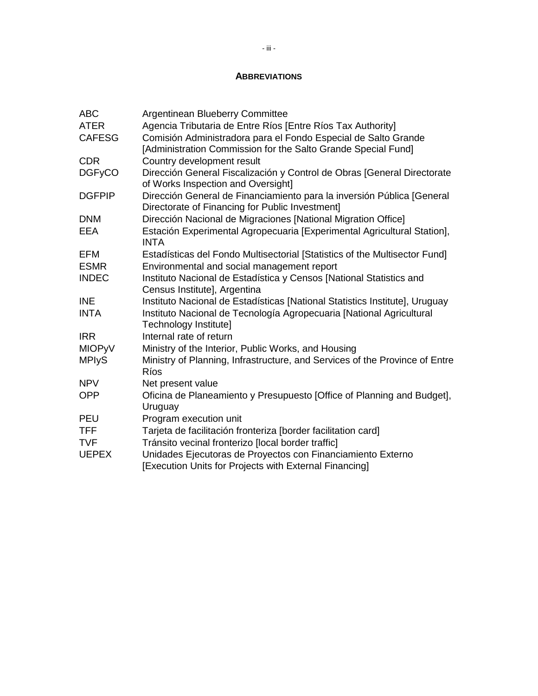## **ABBREVIATIONS**

| <b>ABC</b>    | Argentinean Blueberry Committee                                                                                                 |
|---------------|---------------------------------------------------------------------------------------------------------------------------------|
| <b>ATER</b>   | Agencia Tributaria de Entre Ríos [Entre Ríos Tax Authority]                                                                     |
| <b>CAFESG</b> | Comisión Administradora para el Fondo Especial de Salto Grande<br>[Administration Commission for the Salto Grande Special Fund] |
| <b>CDR</b>    | Country development result                                                                                                      |
| <b>DGFyCO</b> | Dirección General Fiscalización y Control de Obras [General Directorate<br>of Works Inspection and Oversight]                   |
| <b>DGFPIP</b> | Dirección General de Financiamiento para la inversión Pública [General<br>Directorate of Financing for Public Investment]       |
| <b>DNM</b>    | Dirección Nacional de Migraciones [National Migration Office]                                                                   |
| EEA           | Estación Experimental Agropecuaria [Experimental Agricultural Station],<br><b>INTA</b>                                          |
| <b>EFM</b>    | Estadísticas del Fondo Multisectorial [Statistics of the Multisector Fund]                                                      |
| <b>ESMR</b>   | Environmental and social management report                                                                                      |
| <b>INDEC</b>  | Instituto Nacional de Estadística y Censos [National Statistics and<br>Census Institute], Argentina                             |
| <b>INE</b>    | Instituto Nacional de Estadísticas [National Statistics Institute], Uruguay                                                     |
| <b>INTA</b>   | Instituto Nacional de Tecnología Agropecuaria [National Agricultural<br>Technology Institute]                                   |
| <b>IRR</b>    | Internal rate of return                                                                                                         |
| <b>MIOPyV</b> | Ministry of the Interior, Public Works, and Housing                                                                             |
| <b>MPIyS</b>  | Ministry of Planning, Infrastructure, and Services of the Province of Entre<br>Ríos                                             |
| <b>NPV</b>    | Net present value                                                                                                               |
| <b>OPP</b>    | Oficina de Planeamiento y Presupuesto [Office of Planning and Budget],<br>Uruguay                                               |
| <b>PEU</b>    | Program execution unit                                                                                                          |
| <b>TFF</b>    | Tarjeta de facilitación fronteriza [border facilitation card]                                                                   |
| <b>TVF</b>    | Tránsito vecinal fronterizo [local border traffic]                                                                              |
| <b>UEPEX</b>  | Unidades Ejecutoras de Proyectos con Financiamiento Externo<br>[Execution Units for Projects with External Financing]           |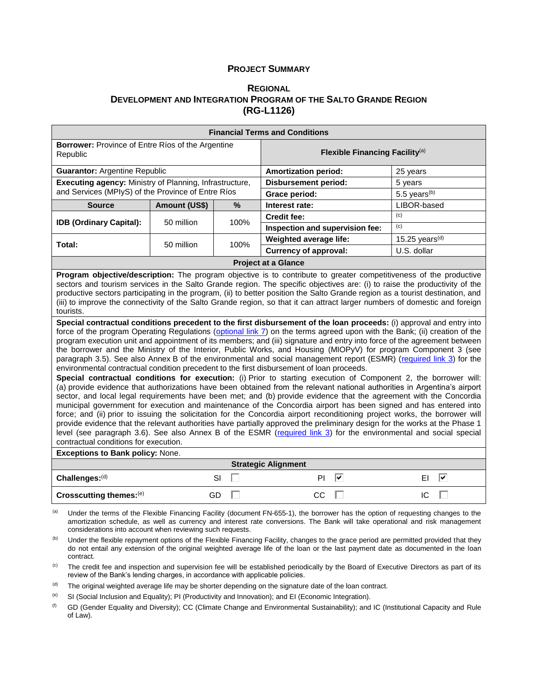#### **PROJECT SUMMARY**

#### **R[EGIONAL](#page-0-0) DEVELOPMENT AND INTEGRATION PROGRAM OF THE SALTO GRANDE REGION [\(RG-L1126\)](#page-0-1)**

| <b>Financial Terms and Conditions</b>                                                                                                                                                                                                                                                                                                                                                                                                                                                                                                                                                                                                                                                                                                                                                                                                                                                                                                                                                                                                                                                                                                                                                                                                                                                                                                                                                                                                                                                                                                                                                                                                                                                                                                                                                                                                                                                                                                                                                                                                                                                                                                                                                                      |               |      |                                            |                          |  |  |  |  |
|------------------------------------------------------------------------------------------------------------------------------------------------------------------------------------------------------------------------------------------------------------------------------------------------------------------------------------------------------------------------------------------------------------------------------------------------------------------------------------------------------------------------------------------------------------------------------------------------------------------------------------------------------------------------------------------------------------------------------------------------------------------------------------------------------------------------------------------------------------------------------------------------------------------------------------------------------------------------------------------------------------------------------------------------------------------------------------------------------------------------------------------------------------------------------------------------------------------------------------------------------------------------------------------------------------------------------------------------------------------------------------------------------------------------------------------------------------------------------------------------------------------------------------------------------------------------------------------------------------------------------------------------------------------------------------------------------------------------------------------------------------------------------------------------------------------------------------------------------------------------------------------------------------------------------------------------------------------------------------------------------------------------------------------------------------------------------------------------------------------------------------------------------------------------------------------------------------|---------------|------|--------------------------------------------|--------------------------|--|--|--|--|
| Borrower: Province of Entre Ríos of the Argentine<br>Republic                                                                                                                                                                                                                                                                                                                                                                                                                                                                                                                                                                                                                                                                                                                                                                                                                                                                                                                                                                                                                                                                                                                                                                                                                                                                                                                                                                                                                                                                                                                                                                                                                                                                                                                                                                                                                                                                                                                                                                                                                                                                                                                                              |               |      | Flexible Financing Facility <sup>(a)</sup> |                          |  |  |  |  |
| <b>Guarantor: Argentine Republic</b>                                                                                                                                                                                                                                                                                                                                                                                                                                                                                                                                                                                                                                                                                                                                                                                                                                                                                                                                                                                                                                                                                                                                                                                                                                                                                                                                                                                                                                                                                                                                                                                                                                                                                                                                                                                                                                                                                                                                                                                                                                                                                                                                                                       |               |      | <b>Amortization period:</b>                | 25 years                 |  |  |  |  |
| Executing agency: Ministry of Planning, Infrastructure,                                                                                                                                                                                                                                                                                                                                                                                                                                                                                                                                                                                                                                                                                                                                                                                                                                                                                                                                                                                                                                                                                                                                                                                                                                                                                                                                                                                                                                                                                                                                                                                                                                                                                                                                                                                                                                                                                                                                                                                                                                                                                                                                                    |               |      | <b>Disbursement period:</b>                | 5 years                  |  |  |  |  |
| and Services (MPIyS) of the Province of Entre Ríos                                                                                                                                                                                                                                                                                                                                                                                                                                                                                                                                                                                                                                                                                                                                                                                                                                                                                                                                                                                                                                                                                                                                                                                                                                                                                                                                                                                                                                                                                                                                                                                                                                                                                                                                                                                                                                                                                                                                                                                                                                                                                                                                                         |               |      | Grace period:                              | 5.5 years <sup>(b)</sup> |  |  |  |  |
| <b>Source</b>                                                                                                                                                                                                                                                                                                                                                                                                                                                                                                                                                                                                                                                                                                                                                                                                                                                                                                                                                                                                                                                                                                                                                                                                                                                                                                                                                                                                                                                                                                                                                                                                                                                                                                                                                                                                                                                                                                                                                                                                                                                                                                                                                                                              | Amount (US\$) | %    | Interest rate:                             | LIBOR-based              |  |  |  |  |
| <b>IDB (Ordinary Capital):</b>                                                                                                                                                                                                                                                                                                                                                                                                                                                                                                                                                                                                                                                                                                                                                                                                                                                                                                                                                                                                                                                                                                                                                                                                                                                                                                                                                                                                                                                                                                                                                                                                                                                                                                                                                                                                                                                                                                                                                                                                                                                                                                                                                                             | 50 million    | 100% | <b>Credit fee:</b>                         | (c)                      |  |  |  |  |
|                                                                                                                                                                                                                                                                                                                                                                                                                                                                                                                                                                                                                                                                                                                                                                                                                                                                                                                                                                                                                                                                                                                                                                                                                                                                                                                                                                                                                                                                                                                                                                                                                                                                                                                                                                                                                                                                                                                                                                                                                                                                                                                                                                                                            |               |      | Inspection and supervision fee:            | (c)                      |  |  |  |  |
| Total:                                                                                                                                                                                                                                                                                                                                                                                                                                                                                                                                                                                                                                                                                                                                                                                                                                                                                                                                                                                                                                                                                                                                                                                                                                                                                                                                                                                                                                                                                                                                                                                                                                                                                                                                                                                                                                                                                                                                                                                                                                                                                                                                                                                                     | 50 million    | 100% | Weighted average life:                     | 15.25 years $(d)$        |  |  |  |  |
|                                                                                                                                                                                                                                                                                                                                                                                                                                                                                                                                                                                                                                                                                                                                                                                                                                                                                                                                                                                                                                                                                                                                                                                                                                                                                                                                                                                                                                                                                                                                                                                                                                                                                                                                                                                                                                                                                                                                                                                                                                                                                                                                                                                                            |               |      | <b>Currency of approval:</b>               | U.S. dollar              |  |  |  |  |
|                                                                                                                                                                                                                                                                                                                                                                                                                                                                                                                                                                                                                                                                                                                                                                                                                                                                                                                                                                                                                                                                                                                                                                                                                                                                                                                                                                                                                                                                                                                                                                                                                                                                                                                                                                                                                                                                                                                                                                                                                                                                                                                                                                                                            |               |      |                                            |                          |  |  |  |  |
| <b>Project at a Glance</b><br>Program objective/description: The program objective is to contribute to greater competitiveness of the productive<br>sectors and tourism services in the Salto Grande region. The specific objectives are: (i) to raise the productivity of the<br>productive sectors participating in the program, (ii) to better position the Salto Grande region as a tourist destination, and<br>(iii) to improve the connectivity of the Salto Grande region, so that it can attract larger numbers of domestic and foreign<br>tourists.<br>Special contractual conditions precedent to the first disbursement of the loan proceeds: (i) approval and entry into<br>force of the program Operating Regulations (optional link 7) on the terms agreed upon with the Bank; (ii) creation of the<br>program execution unit and appointment of its members; and (iii) signature and entry into force of the agreement between<br>the borrower and the Ministry of the Interior, Public Works, and Housing (MIOPyV) for program Component 3 (see<br>paragraph 3.5). See also Annex B of the environmental and social management report (ESMR) (required link 3) for the<br>environmental contractual condition precedent to the first disbursement of loan proceeds.<br>Special contractual conditions for execution: (i) Prior to starting execution of Component 2, the borrower will:<br>(a) provide evidence that authorizations have been obtained from the relevant national authorities in Argentina's airport<br>sector, and local legal requirements have been met; and (b) provide evidence that the agreement with the Concordia<br>municipal government for execution and maintenance of the Concordia airport has been signed and has entered into<br>force; and (ii) prior to issuing the solicitation for the Concordia airport reconditioning project works, the borrower will<br>provide evidence that the relevant authorities have partially approved the preliminary design for the works at the Phase 1<br>level (see paragraph 3.6). See also Annex B of the ESMR (required link 3) for the environmental and social special<br>contractual conditions for execution. |               |      |                                            |                          |  |  |  |  |
| <b>Exceptions to Bank policy: None.</b>                                                                                                                                                                                                                                                                                                                                                                                                                                                                                                                                                                                                                                                                                                                                                                                                                                                                                                                                                                                                                                                                                                                                                                                                                                                                                                                                                                                                                                                                                                                                                                                                                                                                                                                                                                                                                                                                                                                                                                                                                                                                                                                                                                    |               |      | <b>Strategic Alignment</b>                 |                          |  |  |  |  |
| Challenges:(d)                                                                                                                                                                                                                                                                                                                                                                                                                                                                                                                                                                                                                                                                                                                                                                                                                                                                                                                                                                                                                                                                                                                                                                                                                                                                                                                                                                                                                                                                                                                                                                                                                                                                                                                                                                                                                                                                                                                                                                                                                                                                                                                                                                                             |               | SI   | ⊽<br>PI                                    | ⊽<br>EI                  |  |  |  |  |
| Crosscutting themes:(e)                                                                                                                                                                                                                                                                                                                                                                                                                                                                                                                                                                                                                                                                                                                                                                                                                                                                                                                                                                                                                                                                                                                                                                                                                                                                                                                                                                                                                                                                                                                                                                                                                                                                                                                                                                                                                                                                                                                                                                                                                                                                                                                                                                                    |               | GD   | CC                                         | IC                       |  |  |  |  |

(a) Under the terms of the Flexible Financing Facility (document FN-655-1), the borrower has the option of requesting changes to the amortization schedule, as well as currency and interest rate conversions. The Bank will take operational and risk management considerations into account when reviewing such requests.

<sup>(b)</sup> Under the flexible repayment options of the Flexible Financing Facility, changes to the grace period are permitted provided that they do not entail any extension of the original weighted average life of the loan or the last payment date as documented in the loan contract.

<sup>(c)</sup> The credit fee and inspection and supervision fee will be established periodically by the Board of Executive Directors as part of its review of the Bank's lending charges, in accordance with applicable policies.

(d) The original weighted average life may be shorter depending on the signature date of the loan contract.

 $(e)$  SI (Social Inclusion and Equality); PI (Productivity and Innovation); and EI (Economic Integration).

(f) GD (Gender Equality and Diversity); CC (Climate Change and Environmental Sustainability); and IC (Institutional Capacity and Rule of Law).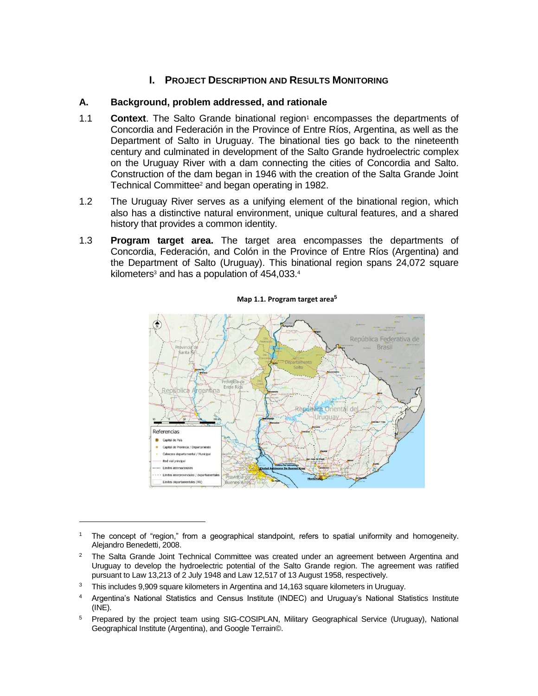## **I. PROJECT DESCRIPTION AND RESULTS MONITORING**

## **A. Background, problem addressed, and rationale**

- 1.1 **Context**. The Salto Grande binational region<sup>1</sup> encompasses the departments of Concordia and Federación in the Province of Entre Ríos, Argentina, as well as the Department of Salto in Uruguay. The binational ties go back to the nineteenth century and culminated in development of the Salto Grande hydroelectric complex on the Uruguay River with a dam connecting the cities of Concordia and Salto. Construction of the dam began in 1946 with the creation of the Salta Grande Joint Technical Committee<sup>2</sup> and began operating in 1982.
- 1.2 The Uruguay River serves as a unifying element of the binational region, which also has a distinctive natural environment, unique cultural features, and a shared history that provides a common identity.
- 1.3 **Program target area.** The target area encompasses the departments of Concordia, Federación, and Colón in the Province of Entre Ríos (Argentina) and the Department of Salto (Uruguay). This binational region spans 24,072 square kilometers $3$  and has a population of  $454,033.^4$



**Map 1.1. Program target area<sup>5</sup>**

<sup>1</sup> The concept of "region," from a geographical standpoint, refers to spatial uniformity and homogeneity. Alejandro Benedetti, 2008.

- <sup>4</sup> Argentina's National Statistics and Census Institute (INDEC) and Uruguay's National Statistics Institute (INE).
- <sup>5</sup> Prepared by the project team using SIG-COSIPLAN, Military Geographical Service (Uruguay), National Geographical Institute (Argentina), and Google Terrain©.

 $2$  The Salta Grande Joint Technical Committee was created under an agreement between Argentina and Uruguay to develop the hydroelectric potential of the Salto Grande region. The agreement was ratified pursuant to Law 13,213 of 2 July 1948 and Law 12,517 of 13 August 1958, respectively.

 $3$  This includes 9,909 square kilometers in Argentina and 14,163 square kilometers in Uruguay.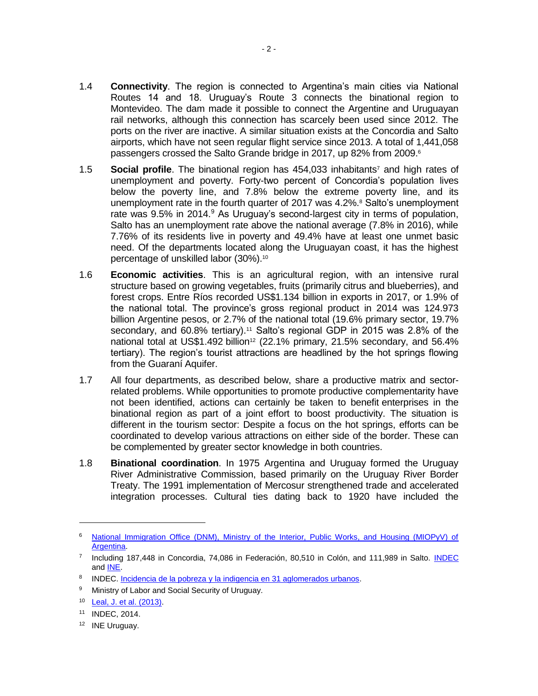- 1.4 **Connectivity**. The region is connected to Argentina's main cities via National Routes 14 and 18. Uruguay's Route 3 connects the binational region to Montevideo. The dam made it possible to connect the Argentine and Uruguayan rail networks, although this connection has scarcely been used since 2012. The ports on the river are inactive. A similar situation exists at the Concordia and Salto airports, which have not seen regular flight service since 2013. A total of 1,441,058 passengers crossed the Salto Grande bridge in 2017, up 82% from 2009.<sup>6</sup>
- 1.5 **Social profile**. The binational region has 454,033 inhabitants<sup>7</sup> and high rates of unemployment and poverty. Forty-two percent of Concordia's population lives below the poverty line, and 7.8% below the extreme poverty line, and its unemployment rate in the fourth quarter of 2017 was 4.2%.<sup>8</sup> Salto's unemployment rate was 9.5% in 2014.<sup>9</sup> As Uruguay's second-largest city in terms of population, Salto has an unemployment rate above the national average (7.8% in 2016), while 7.76% of its residents live in poverty and 49.4% have at least one unmet basic need. Of the departments located along the Uruguayan coast, it has the highest percentage of unskilled labor (30%).<sup>10</sup>
- 1.6 **Economic activities**. This is an agricultural region, with an intensive rural structure based on growing vegetables, fruits (primarily citrus and blueberries), and forest crops. Entre Ríos recorded US\$1.134 billion in exports in 2017, or 1.9% of the national total. The province's gross regional product in 2014 was 124.973 billion Argentine pesos, or 2.7% of the national total (19.6% primary sector, 19.7% secondary, and 60.8% tertiary).<sup>11</sup> Salto's regional GDP in 2015 was 2.8% of the national total at US\$1.492 billion<sup>12</sup> (22.1% primary, 21.5% secondary, and 56.4% tertiary). The region's tourist attractions are headlined by the hot springs flowing from the Guaraní Aquifer.
- 1.7 All four departments, as described below, share a productive matrix and sectorrelated problems. While opportunities to promote productive complementarity have not been identified, actions can certainly be taken to benefit enterprises in the binational region as part of a joint effort to boost productivity. The situation is different in the tourism sector: Despite a focus on the hot springs, efforts can be coordinated to develop various attractions on either side of the border. These can be complemented by greater sector knowledge in both countries.
- 1.8 **Binational coordination**. In 1975 Argentina and Uruguay formed the Uruguay River Administrative Commission, based primarily on the Uruguay River Border Treaty. The 1991 implementation of Mercosur strengthened trade and accelerated integration processes. Cultural ties dating back to 1920 have included the

 $\overline{a}$ 

<sup>&</sup>lt;sup>6</sup> National Immigration Office (DNM), Ministry of the Interior, Public Works, and Housing (MIOPyV) of [Argentina.](http://www.migraciones.gov.ar/accesible/indexA.php?estadisticas)

<sup>&</sup>lt;sup>7</sup> Including 187,448 in Concordia, 74,086 in Federación, 80,510 in Colón, and 111,989 in Salto. [INDEC](https://www.indec.gob.ar/nivel4_default.asp?id_tema_1=2&id_tema_2=24&id_tema_3=119) and [INE.](http://www.ine.gub.uy/estimaciones-y-proyecciones)

<sup>8</sup> INDEC. Incidencia de la pobreza [y la indigencia en 31 aglomerados urbanos.](https://www.indec.gob.ar/uploads/informesdeprensa/eph_pobreza_02_17.pdf)

<sup>9</sup> Ministry of Labor and Social Security of Uruguay.

<sup>10</sup> [Leal, J. et al. \(2013\).](http://dcs.unorte.edu.uy/sites/default/files/publicaciones/transformaciones-recientes-y-desafios-para-el-desarrollo-regional.pdf)

<sup>11</sup> INDEC, 2014.

<sup>12</sup> INE Uruguay.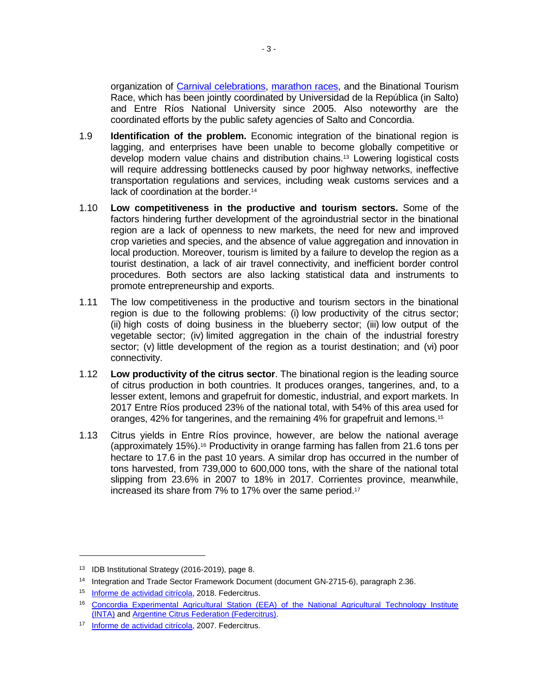organization of [Carnival celebrations,](http://www.mides.gub.uy/innovaportal/file/2372/1/identidad_cultura_desarrollo_salto_concordia.pdf) [marathon races,](http://maratonbinacional.com.ar/) and the Binational Tourism Race, which has been jointly coordinated by Universidad de la República (in Salto) and Entre Ríos National University since 2005. Also noteworthy are the coordinated efforts by the public safety agencies of Salto and Concordia.

- 1.9 **Identification of the problem.** Economic integration of the binational region is lagging, and enterprises have been unable to become globally competitive or develop modern value chains and distribution chains.<sup>13</sup> Lowering logistical costs will require addressing bottlenecks caused by poor highway networks, ineffective transportation regulations and services, including weak customs services and a lack of coordination at the border.<sup>14</sup>
- 1.10 **Low competitiveness in the productive and tourism sectors.** Some of the factors hindering further development of the agroindustrial sector in the binational region are a lack of openness to new markets, the need for new and improved crop varieties and species, and the absence of value aggregation and innovation in local production. Moreover, tourism is limited by a failure to develop the region as a tourist destination, a lack of air travel connectivity, and inefficient border control procedures. Both sectors are also lacking statistical data and instruments to promote entrepreneurship and exports.
- 1.11 The low competitiveness in the productive and tourism sectors in the binational region is due to the following problems: (i) low productivity of the citrus sector; (ii) high costs of doing business in the blueberry sector; (iii) low output of the vegetable sector; (iv) limited aggregation in the chain of the industrial forestry sector; (v) little development of the region as a tourist destination; and (vi) poor connectivity.
- 1.12 **Low productivity of the citrus sector**. The binational region is the leading source of citrus production in both countries. It produces oranges, tangerines, and, to a lesser extent, lemons and grapefruit for domestic, industrial, and export markets. In 2017 Entre Ríos produced 23% of the national total, with 54% of this area used for oranges, 42% for tangerines, and the remaining 4% for grapefruit and lemons.<sup>15</sup>
- 1.13 Citrus yields in Entre Ríos province, however, are below the national average (approximately 15%).<sup>16</sup> Productivity in orange farming has fallen from 21.6 tons per hectare to 17.6 in the past 10 years. A similar drop has occurred in the number of tons harvested, from 739,000 to 600,000 tons, with the share of the national total slipping from 23.6% in 2007 to 18% in 2017. Corrientes province, meanwhile, increased its share from 7% to 17% over the same period.<sup>17</sup>

<sup>13</sup> IDB Institutional Strategy (2016-2019), page 8.

<sup>14</sup> Integration and Trade Sector Framework Document (document GN-2715-6), paragraph 2.36.

<sup>15</sup> [Informe de actividad citrícola,](http://www.federcitrus.org/estadisticas/) 2018. Federcitrus.

<sup>16</sup> Concordia Experimental Agricultural Station (EEA) of the National Agricultural Technology Institute [\(INTA\)](https://inta.gob.ar/sites/default/files/inta_concordia_informe_citricola_entre_rios_2015.pdf) and [Argentine Citrus Federation \(Federcitrus\).](http://www.federcitrus.org/estadisticas/)

<sup>17</sup> [Informe de actividad citrícola,](http://www.federcitrus.org/estadisticas/) 2007. Federcitrus.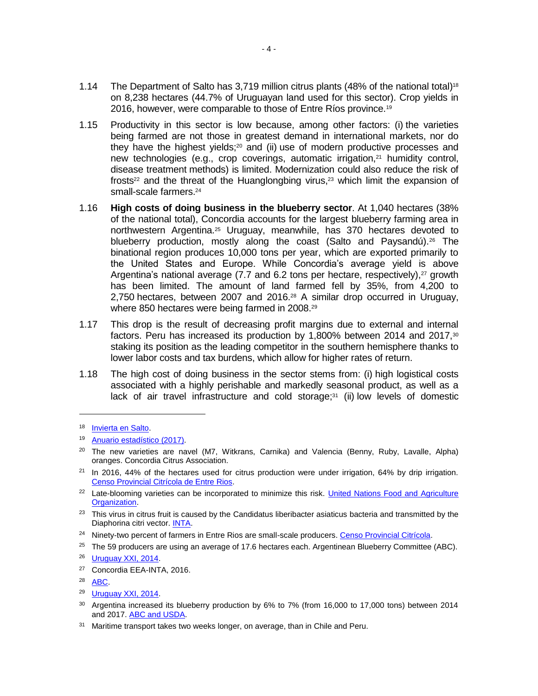- 1.14 The Department of Salto has 3,719 million citrus plants (48% of the national total) 18 on 8,238 hectares (44.7% of Uruguayan land used for this sector). Crop yields in 2016, however, were comparable to those of Entre Ríos province.<sup>19</sup>
- 1.15 Productivity in this sector is low because, among other factors: (i) the varieties being farmed are not those in greatest demand in international markets, nor do they have the highest yields; $20$  and (ii) use of modern productive processes and new technologies (e.g., crop coverings, automatic irrigation,<sup>21</sup> humidity control, disease treatment methods) is limited. Modernization could also reduce the risk of frosts<sup>22</sup> and the threat of the Huanglongbing virus,<sup>23</sup> which limit the expansion of small-scale farmers. 24
- 1.16 **High costs of doing business in the blueberry sector**. At 1,040 hectares (38% of the national total), Concordia accounts for the largest blueberry farming area in northwestern Argentina.<sup>25</sup> Uruguay, meanwhile, has 370 hectares devoted to blueberry production, mostly along the coast (Salto and Paysandú).<sup>26</sup> The binational region produces 10,000 tons per year, which are exported primarily to the United States and Europe. While Concordia's average yield is above Argentina's national average  $(7.7 \text{ and } 6.2 \text{ tons per hectare}, \text{respectively})$ , $^{27}$  growth has been limited. The amount of land farmed fell by 35%, from 4,200 to 2,750 hectares, between 2007 and 2016.<sup>28</sup> A similar drop occurred in Uruguay, where 850 hectares were being farmed in 2008.<sup>29</sup>
- 1.17 This drop is the result of decreasing profit margins due to external and internal factors. Peru has increased its production by 1,800% between 2014 and 2017, $30$ staking its position as the leading competitor in the southern hemisphere thanks to lower labor costs and tax burdens, which allow for higher rates of return.
- 1.18 The high cost of doing business in the sector stems from: (i) high logistical costs associated with a highly perishable and markedly seasonal product, as well as a lack of air travel infrastructure and cold storage;<sup>31</sup> (ii) low levels of domestic

- <sup>24</sup> Ninety-two percent of farmers in Entre Rios are small-scale producers. [Censo Provincial Citrícola.](https://inta.gob.ar/sites/default/files/inta_hd51_citrus_informe_corrientes.pdf)
- <sup>25</sup> The 59 producers are using an average of 17.6 hectares each. Argentinean Blueberry Committee (ABC).

- <sup>27</sup> Concordia EEA-INTA, 2016.
- <sup>28</sup> [ABC.](https://www.argblueberry.com/home/estadisticas/)

- <sup>30</sup> Argentina increased its blueberry production by 6% to 7% (from 16,000 to 17,000 tons) between 2014 and 2017. [ABC and USDA.](https://goo.gl/aiXtP5)
- <sup>31</sup> Maritime transport takes two weeks longer, on average, than in Chile and Peru.

<sup>18</sup> [Invierta en Salto.](https://www.uruguayxxi.gub.uy/uploads/informacion/89a039315feafa9ae42c2b0b95f4dae4c9f35a13.pdf)

<sup>19</sup> [Anuario estadístico](http://www.mgap.gub.uy/sites/default/files/diea-anuario2017web01a.pdf) (2017).

<sup>&</sup>lt;sup>20</sup> The new varieties are navel (M7, Witkrans, Carnika) and Valencia (Benny, Ruby, Lavalle, Alpha) oranges. Concordia Citrus Association.

 $21$  In 2016, 44% of the hectares used for citrus production were under irrigation, 64% by drip irrigation. [Censo Provincial Citrícola de Entre Rios.](http://biblioteca.cfi.org.ar/wp-content/uploads/sites/2/2016/01/50985.pdf)

<sup>&</sup>lt;sup>22</sup> Late-blooming varieties can be incorporated to minimize this risk. United Nations Food and Agriculture [Organization.](http://www.fao.org/docrep/012/y7223s/y7223s03.pdf)

<sup>&</sup>lt;sup>23</sup> This virus in citrus fruit is caused by the Candidatus liberibacter asiaticus bacteria and transmitted by the Diaphorina citri vector[. INTA.](https://goo.gl/SPQRe3)

<sup>26</sup> [Uruguay XXI, 2014.](http://www.uruguayxxi.gub.uy/informacion/wp-content/uploads/sites/9/2015/05/Informe-arandanos-2014-Uruguay-XXI.pdf)

<sup>29</sup> [Uruguay XXI, 2014.](http://www.uruguayxxi.gub.uy/informacion/wp-content/uploads/sites/9/2015/05/Informe-arandanos-2014-Uruguay-XXI.pdf)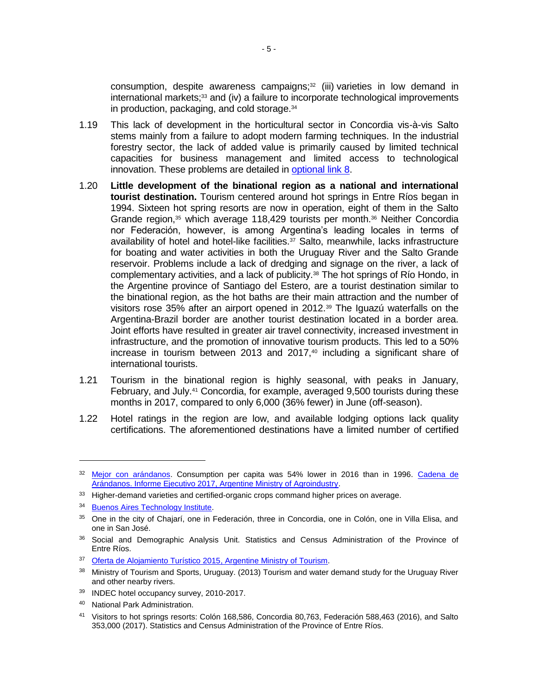consumption, despite awareness campaigns;<sup>32</sup> (iii) varieties in low demand in  $intermational$  markets; $33$  and (iv) a failure to incorporate technological improvements in production, packaging, and cold storage.<sup>34</sup>

- 1.19 This lack of development in the horticultural sector in Concordia vis-à-vis Salto stems mainly from a failure to adopt modern farming techniques. In the industrial forestry sector, the lack of added value is primarily caused by limited technical capacities for business management and limited access to technological innovation. These problems are detailed in [optional link 8.](http://idbdocs.iadb.org/wsdocs/getDocument.aspx?DOCNUM=EZSHARE-567986568-14)
- 1.20 **Little development of the binational region as a national and international tourist destination.** Tourism centered around hot springs in Entre Ríos began in 1994. Sixteen hot spring resorts are now in operation, eight of them in the Salto Grande region,<sup>35</sup> which average 118,429 tourists per month.<sup>36</sup> Neither Concordia nor Federación, however, is among Argentina's leading locales in terms of availability of hotel and hotel-like facilities. <sup>37</sup> Salto, meanwhile, lacks infrastructure for boating and water activities in both the Uruguay River and the Salto Grande reservoir. Problems include a lack of dredging and signage on the river, a lack of complementary activities, and a lack of publicity.<sup>38</sup> The hot springs of Río Hondo, in the Argentine province of Santiago del Estero, are a tourist destination similar to the binational region, as the hot baths are their main attraction and the number of visitors rose 35% after an airport opened in 2012.<sup>39</sup> The Iguazú waterfalls on the Argentina-Brazil border are another tourist destination located in a border area. Joint efforts have resulted in greater air travel connectivity, increased investment in infrastructure, and the promotion of innovative tourism products. This led to a 50% increase in tourism between 2013 and 2017, $40$  including a significant share of international tourists.
- 1.21 Tourism in the binational region is highly seasonal, with peaks in January, February, and July.<sup>41</sup> Concordia, for example, averaged 9,500 tourists during these months in 2017, compared to only 6,000 (36% fewer) in June (off-season).
- 1.22 Hotel ratings in the region are low, and available lodging options lack quality certifications. The aforementioned destinations have a limited number of certified

<sup>40</sup> National Park Administration.

<sup>&</sup>lt;sup>32</sup> [Mejor con arándanos.](https://www.argblueberry.com/home/mca/) Consumption per capita was 54% lower in 2016 than in 1996. Cadena de [Arándanos. Informe Ejecutivo 2017, Argentine Ministry of Agroindustry.](http://www.alimentosargentinos.gob.ar/HomeAlimentos/Cadenas%20de%20Valor%20de%20Alimentos%20y%20Bebidas/informes/INFORME_CADENAS_DE_ARANDANOS_OCTUBRE.pdf)

<sup>&</sup>lt;sup>33</sup> Higher-demand varieties and certified-organic crops command higher prices on average.

<sup>34</sup> [Buenos Aires Technology Institute.](https://goo.gl/kwm7NB)

<sup>35</sup> One in the city of Chajarí, one in Federación, three in Concordia, one in Colón, one in Villa Elisa, and one in San José.

<sup>&</sup>lt;sup>36</sup> Social and Demographic Analysis Unit. Statistics and Census Administration of the Province of Entre Ríos.

<sup>&</sup>lt;sup>37</sup> [Oferta de Alojamiento Turístico 2015, Argentine Ministry of Tourism.](http://www.yvera.gob.ar/estadistica/documentos/descarga/5a26ae2895e49.pdf)

<sup>&</sup>lt;sup>38</sup> Ministry of Tourism and Sports, Uruguay. (2013) Tourism and water demand study for the Uruguay River and other nearby rivers.

<sup>39</sup> INDEC hotel occupancy survey, 2010-2017.

<sup>41</sup> Visitors to hot springs resorts: Colón 168,586, Concordia 80,763, Federación 588,463 (2016), and Salto 353,000 (2017). Statistics and Census Administration of the Province of Entre Ríos.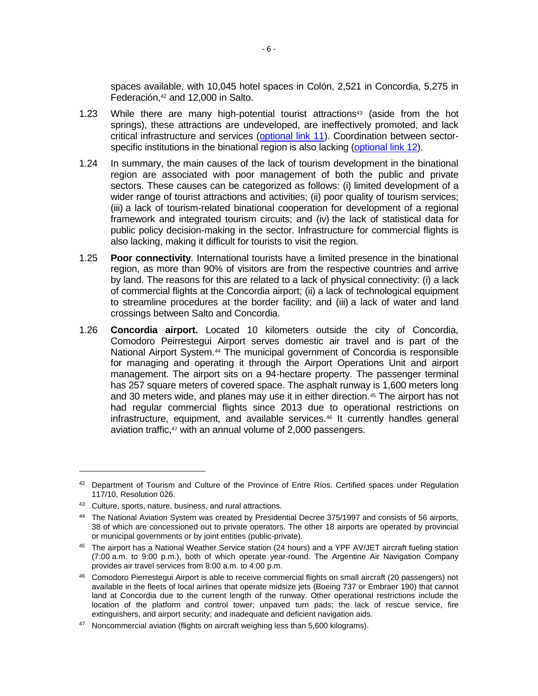spaces available, with 10,045 hotel spaces in Colón, 2,521 in Concordia, 5,275 in Federación,<sup>42</sup> and 12,000 in Salto.

- 1.23 While there are many high-potential tourist attractions $43$  (aside from the hot springs), these attractions are undeveloped, are ineffectively promoted, and lack critical infrastructure and services [\(optional link 11\)](http://idbdocs.iadb.org/wsdocs/getDocument.aspx?DOCNUM=EZSHARE-567986568-31). Coordination between sector-specific institutions in the binational region is also lacking [\(optional link 12\)](http://idbdocs.iadb.org/wsdocs/getDocument.aspx?DOCNUM=EZSHARE-567986568-32).
- 1.24 In summary, the main causes of the lack of tourism development in the binational region are associated with poor management of both the public and private sectors. These causes can be categorized as follows: (i) limited development of a wider range of tourist attractions and activities; (ii) poor quality of tourism services; (iii) a lack of tourism-related binational cooperation for development of a regional framework and integrated tourism circuits; and (iv) the lack of statistical data for public policy decision-making in the sector. Infrastructure for commercial flights is also lacking, making it difficult for tourists to visit the region.
- 1.25 **Poor connectivity**. International tourists have a limited presence in the binational region, as more than 90% of visitors are from the respective countries and arrive by land. The reasons for this are related to a lack of physical connectivity: (i) a lack of commercial flights at the Concordia airport; (ii) a lack of technological equipment to streamline procedures at the border facility; and (iii) a lack of water and land crossings between Salto and Concordia.
- 1.26 **Concordia airport.** Located 10 kilometers outside the city of Concordia, Comodoro Peirrestegui Airport serves domestic air travel and is part of the National Airport System.<sup>44</sup> The municipal government of Concordia is responsible for managing and operating it through the Airport Operations Unit and airport management. The airport sits on a 94-hectare property. The passenger terminal has 257 square meters of covered space. The asphalt runway is 1,600 meters long and 30 meters wide, and planes may use it in either direction.<sup>45</sup> The airport has not had regular commercial flights since 2013 due to operational restrictions on infrastructure, equipment, and available services.<sup>46</sup> It currently handles general aviation traffic,<sup>47</sup> with an annual volume of 2,000 passengers.

<sup>42</sup> Department of Tourism and Culture of the Province of Entre Ríos. Certified spaces under Regulation 117/10, Resolution 026.

<sup>43</sup> Culture, sports, nature, business, and rural attractions.

<sup>44</sup> The National Aviation System was created by Presidential Decree 375/1997 and consists of 56 airports, 38 of which are concessioned out to private operators. The other 18 airports are operated by provincial or municipal governments or by joint entities (public-private).

<sup>45</sup> The airport has a National Weather Service station (24 hours) and a YPF AV/JET aircraft fueling station (7:00 a.m. to 9:00 p.m.), both of which operate year-round. The Argentine Air Navigation Company provides air travel services from 8:00 a.m. to 4:00 p.m.

<sup>46</sup> Comodoro Pierrestegui Airport is able to receive commercial flights on small aircraft (20 passengers) not available in the fleets of local airlines that operate midsize jets (Boeing 737 or Embraer 190) that cannot land at Concordia due to the current length of the runway. Other operational restrictions include the location of the platform and control tower; unpaved turn pads; the lack of rescue service, fire extinguishers, and airport security; and inadequate and deficient navigation aids.

<sup>&</sup>lt;sup>47</sup> Noncommercial aviation (flights on aircraft weighing less than 5,600 kilograms).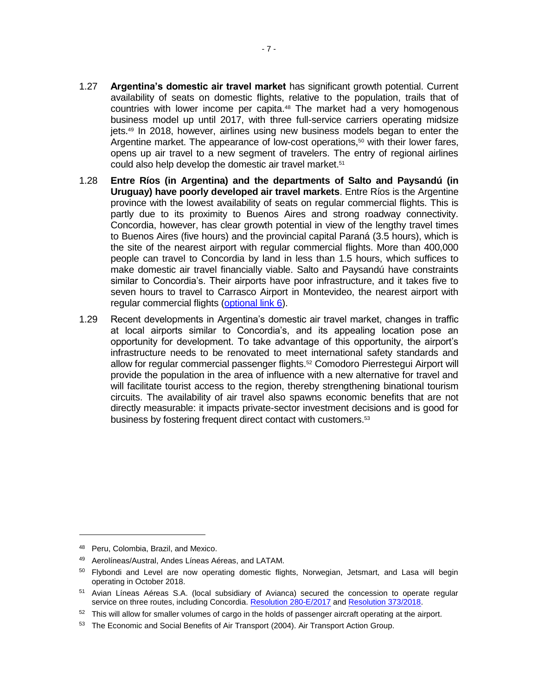- 1.27 **Argentina's domestic air travel market** has significant growth potential. Current availability of seats on domestic flights, relative to the population, trails that of countries with lower income per capita.<sup>48</sup> The market had a very homogenous business model up until 2017, with three full-service carriers operating midsize jets.<sup>49</sup> In 2018, however, airlines using new business models began to enter the Argentine market. The appearance of low-cost operations,<sup>50</sup> with their lower fares, opens up air travel to a new segment of travelers. The entry of regional airlines could also help develop the domestic air travel market.<sup>51</sup>
- 1.28 **Entre Ríos (in Argentina) and the departments of Salto and Paysandú (in Uruguay) have poorly developed air travel markets**. Entre Ríos is the Argentine province with the lowest availability of seats on regular commercial flights. This is partly due to its proximity to Buenos Aires and strong roadway connectivity. Concordia, however, has clear growth potential in view of the lengthy travel times to Buenos Aires (five hours) and the provincial capital Paraná (3.5 hours), which is the site of the nearest airport with regular commercial flights. More than 400,000 people can travel to Concordia by land in less than 1.5 hours, which suffices to make domestic air travel financially viable. Salto and Paysandú have constraints similar to Concordia's. Their airports have poor infrastructure, and it takes five to seven hours to travel to Carrasco Airport in Montevideo, the nearest airport with regular commercial flights [\(optional link 6\)](http://idbdocs.iadb.org/wsdocs/getDocument.aspx?DOCNUM=EZSHARE-567986568-12).
- 1.29 Recent developments in Argentina's domestic air travel market, changes in traffic at local airports similar to Concordia's, and its appealing location pose an opportunity for development. To take advantage of this opportunity, the airport's infrastructure needs to be renovated to meet international safety standards and allow for regular commercial passenger flights.<sup>52</sup> Comodoro Pierrestegui Airport will provide the population in the area of influence with a new alternative for travel and will facilitate tourist access to the region, thereby strengthening binational tourism circuits. The availability of air travel also spawns economic benefits that are not directly measurable: it impacts private-sector investment decisions and is good for business by fostering frequent direct contact with customers.<sup>53</sup>

<sup>48</sup> Peru, Colombia, Brazil, and Mexico.

<sup>49</sup> Aerolíneas/Austral, Andes Líneas Aéreas, and LATAM.

<sup>&</sup>lt;sup>50</sup> Flybondi and Level are now operating domestic flights, Norwegian, Jetsmart, and Lasa will begin operating in October 2018.

<sup>&</sup>lt;sup>51</sup> Avian Líneas Aéreas S.A. (local subsidiary of Avianca) secured the concession to operate regular service on three routes, including Concordia. [Resolution 280-E/2017](https://www.boletinoficial.gob.ar/#!DetalleNorma/163422/20170511) an[d Resolution 373/2018.](https://www.boletinoficial.gob.ar/#!DetalleNorma/182615/20180503)

<sup>&</sup>lt;sup>52</sup> This will allow for smaller volumes of cargo in the holds of passenger aircraft operating at the airport.

<sup>&</sup>lt;sup>53</sup> The Economic and Social Benefits of Air Transport (2004). Air Transport Action Group.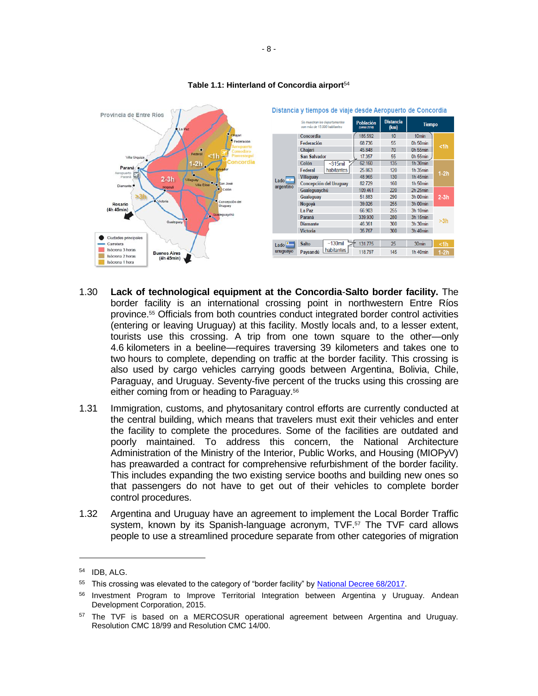

#### **Table 1.1: Hinterland of Concordia airport**<sup>54</sup>

- 1.30 **Lack of technological equipment at the Concordia**-**Salto border facility.** The border facility is an international crossing point in northwestern Entre Ríos province.<sup>55</sup> Officials from both countries conduct integrated border control activities (entering or leaving Uruguay) at this facility. Mostly locals and, to a lesser extent, tourists use this crossing. A trip from one town square to the other—only 4.6 kilometers in a beeline—requires traversing 39 kilometers and takes one to two hours to complete, depending on traffic at the border facility. This crossing is also used by cargo vehicles carrying goods between Argentina, Bolivia, Chile, Paraguay, and Uruguay. Seventy-five percent of the trucks using this crossing are either coming from or heading to Paraguay.<sup>56</sup>
- 1.31 Immigration, customs, and phytosanitary control efforts are currently conducted at the central building, which means that travelers must exit their vehicles and enter the facility to complete the procedures. Some of the facilities are outdated and poorly maintained. To address this concern, the National Architecture Administration of the Ministry of the Interior, Public Works, and Housing (MIOPyV) has preawarded a contract for comprehensive refurbishment of the border facility. This includes expanding the two existing service booths and building new ones so that passengers do not have to get out of their vehicles to complete border control procedures.
- 1.32 Argentina and Uruguay have an agreement to implement the Local Border Traffic system, known by its Spanish-language acronym, TVF. <sup>57</sup> The TVF card allows people to use a streamlined procedure separate from other categories of migration

<sup>54</sup> IDB, ALG.

<sup>&</sup>lt;sup>55</sup> This crossing was elevated to the category of "border facility" by **National Decree 68/2017**.

<sup>56</sup> Investment Program to Improve Territorial Integration between Argentina y Uruguay. Andean Development Corporation, 2015.

<sup>&</sup>lt;sup>57</sup> The TVF is based on a MERCOSUR operational agreement between Argentina and Uruguay. Resolution CMC 18/99 and Resolution CMC 14/00.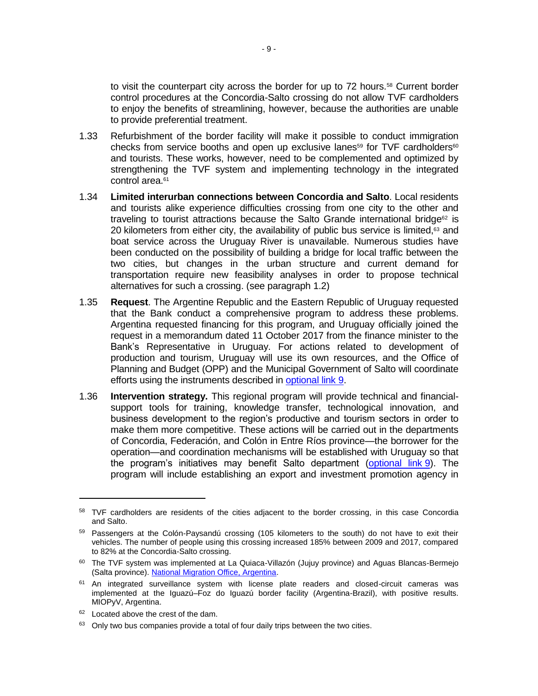to visit the counterpart city across the border for up to 72 hours.<sup>58</sup> Current border control procedures at the Concordia-Salto crossing do not allow TVF cardholders to enjoy the benefits of streamlining, however, because the authorities are unable to provide preferential treatment.

- 1.33 Refurbishment of the border facility will make it possible to conduct immigration checks from service booths and open up exclusive lanes<sup>59</sup> for TVF cardholders<sup>60</sup> and tourists. These works, however, need to be complemented and optimized by strengthening the TVF system and implementing technology in the integrated control area.<sup>61</sup>
- 1.34 **Limited interurban connections between Concordia and Salto**. Local residents and tourists alike experience difficulties crossing from one city to the other and traveling to tourist attractions because the Salto Grande international bridge<sup>62</sup> is 20 kilometers from either city, the availability of public bus service is limited, $63$  and boat service across the Uruguay River is unavailable. Numerous studies have been conducted on the possibility of building a bridge for local traffic between the two cities, but changes in the urban structure and current demand for transportation require new feasibility analyses in order to propose technical alternatives for such a crossing. (see paragraph 1.2)
- 1.35 **Request**. The Argentine Republic and the Eastern Republic of Uruguay requested that the Bank conduct a comprehensive program to address these problems. Argentina requested financing for this program, and Uruguay officially joined the request in a memorandum dated 11 October 2017 from the finance minister to the Bank's Representative in Uruguay. For actions related to development of production and tourism, Uruguay will use its own resources, and the Office of Planning and Budget (OPP) and the Municipal Government of Salto will coordinate efforts using the instruments described in [optional link 9.](http://idbdocs.iadb.org/wsdocs/getDocument.aspx?DOCNUM=EZSHARE-567986568-15)
- 1.36 **Intervention strategy.** This regional program will provide technical and financialsupport tools for training, knowledge transfer, technological innovation, and business development to the region's productive and tourism sectors in order to make them more competitive. These actions will be carried out in the departments of Concordia, Federación, and Colón in Entre Ríos province—the borrower for the operation—and coordination mechanisms will be established with Uruguay so that the program's initiatives may benefit Salto department [\(optional link](http://idbdocs.iadb.org/wsdocs/getDocument.aspx?DOCNUM=EZSHARE-567986568-15) 9). The program will include establishing an export and investment promotion agency in

<sup>58</sup> TVF cardholders are residents of the cities adjacent to the border crossing, in this case Concordia and Salto.

<sup>&</sup>lt;sup>59</sup> Passengers at the Colón-Paysandú crossing (105 kilometers to the south) do not have to exit their vehicles. The number of people using this crossing increased 185% between 2009 and 2017, compared to 82% at the Concordia-Salto crossing.

<sup>60</sup> The TVF system was implemented at La Quiaca-Villazón (Jujuy province) and Aguas Blancas-Bermejo (Salta province). [National Migration Office, Argentina.](http://www.migraciones.gov.ar/accesible/indexA.php?estadisticas)

 $61$  An integrated surveillance system with license plate readers and closed-circuit cameras was implemented at the Iguazú–Foz do Iguazú border facility (Argentina-Brazil), with positive results. MIOPyV, Argentina.

<sup>&</sup>lt;sup>62</sup> Located above the crest of the dam.

<sup>&</sup>lt;sup>63</sup> Only two bus companies provide a total of four daily trips between the two cities.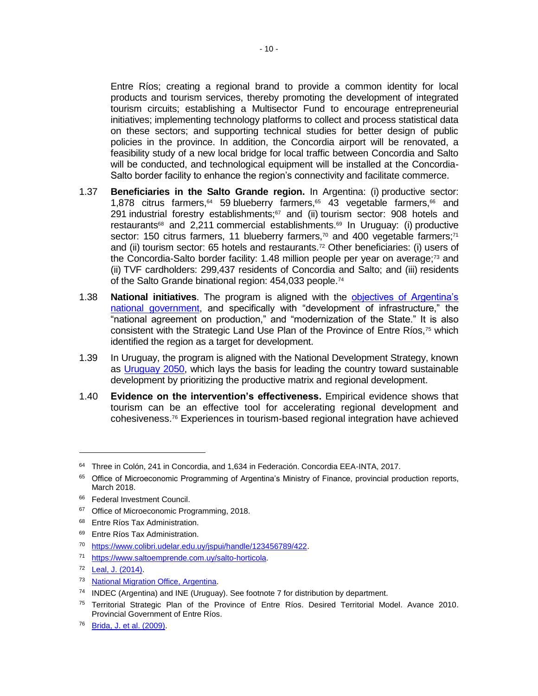Entre Ríos; creating a regional brand to provide a common identity for local products and tourism services, thereby promoting the development of integrated tourism circuits; establishing a Multisector Fund to encourage entrepreneurial initiatives; implementing technology platforms to collect and process statistical data on these sectors; and supporting technical studies for better design of public policies in the province. In addition, the Concordia airport will be renovated, a feasibility study of a new local bridge for local traffic between Concordia and Salto will be conducted, and technological equipment will be installed at the Concordia-Salto border facility to enhance the region's connectivity and facilitate commerce.

- 1.37 **Beneficiaries in the Salto Grande region.** In Argentina: (i) productive sector: 1,878 citrus farmers, $64$  59 blueberry farmers, $65$  43 vegetable farmers, $66$  and 291 industrial forestry establishments; $67$  and (ii) tourism sector: 908 hotels and restaurants<sup>68</sup> and 2,211 commercial establishments.<sup>69</sup> In Uruguay: (i) productive sector: 150 citrus farmers, 11 blueberry farmers, $70$  and 400 vegetable farmers; $71$ and (ii) tourism sector: 65 hotels and restaurants.<sup>72</sup> Other beneficiaries: (i) users of the Concordia-Salto border facility: 1.48 million people per year on average;<sup>73</sup> and (ii) TVF cardholders: 299,437 residents of Concordia and Salto; and (iii) residents of the Salto Grande binational region: 454,033 people.<sup>74</sup>
- 1.38 **National initiatives**. The program is aligned with the [objectives of Argentina's](https://www.casarosada.gob.ar/objetivosdegobierno/)  [national government,](https://www.casarosada.gob.ar/objetivosdegobierno/) and specifically with "development of infrastructure," the "national agreement on production," and "modernization of the State." It is also consistent with the Strategic Land Use Plan of the Province of Entre Ríos,<sup>75</sup> which identified the region as a target for development.
- 1.39 In Uruguay, the program is aligned with the National Development Strategy, known as [Uruguay 2050,](https://www.opp.gub.uy/es/planificacion) which lays the basis for leading the country toward sustainable development by prioritizing the productive matrix and regional development.
- 1.40 **Evidence on the intervention's effectiveness.** Empirical evidence shows that tourism can be an effective tool for accelerating regional development and cohesiveness.<sup>76</sup> Experiences in tourism-based regional integration have achieved

<sup>&</sup>lt;sup>64</sup> Three in Colón, 241 in Concordia, and 1,634 in Federación. Concordia EEA-INTA, 2017.

<sup>&</sup>lt;sup>65</sup> Office of Microeconomic Programming of Argentina's Ministry of Finance, provincial production reports, March 2018.

<sup>&</sup>lt;sup>66</sup> Federal Investment Council.

<sup>&</sup>lt;sup>67</sup> Office of Microeconomic Programming, 2018.

<sup>&</sup>lt;sup>68</sup> Entre Ríos Tax Administration.

<sup>&</sup>lt;sup>69</sup> Entre Ríos Tax Administration.

<sup>70</sup> [https://www.colibri.udelar.edu.uy/jspui/handle/123456789/422.](https://www.colibri.udelar.edu.uy/jspui/handle/123456789/422)

<sup>71</sup> [https://www.saltoemprende.com.uy/salto-horticola.](https://www.saltoemprende.com.uy/salto-horticola)

<sup>72</sup> [Leal, J. \(2014\).](https://goo.gl/AY3Yfw)

<sup>73</sup> [National Migration Office, Argentina.](http://www.migraciones.gov.ar/accesible/indexA.php?estadisticas)

<sup>74</sup> INDEC (Argentina) and INE (Uruguay). See footnote 7 for distribution by department.

<sup>&</sup>lt;sup>75</sup> Territorial Strategic Plan of the Province of Entre Ríos. Desired Territorial Model. Avance 2010. Provincial Government of Entre Ríos.

<sup>76</sup> [Brida, J. et al. \(2009\).](https://mpra.ub.uni-muenchen.de/25316/1/MPRA_paper_25316.pdf)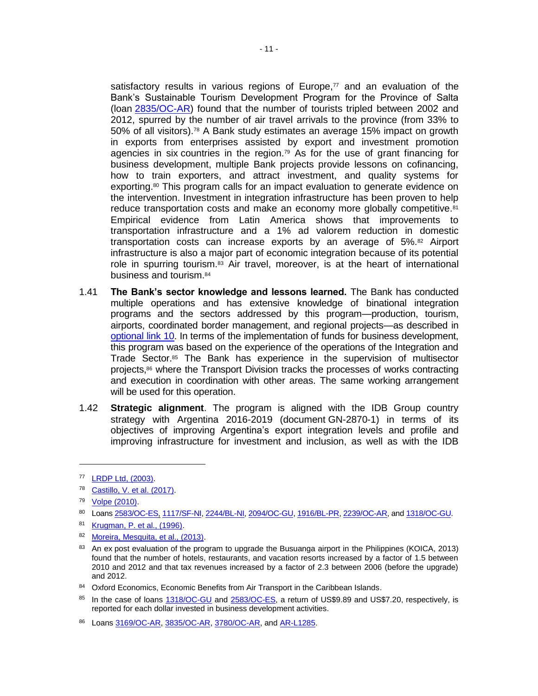satisfactory results in various regions of Europe, $77$  and an evaluation of the Bank's Sustainable Tourism Development Program for the Province of Salta (loan [2835/OC-AR\)](https://www.iadb.org/es/project/AR-L1140) found that the number of tourists tripled between 2002 and 2012, spurred by the number of air travel arrivals to the province (from 33% to 50% of all visitors).<sup>78</sup> A Bank study estimates an average 15% impact on growth in exports from enterprises assisted by export and investment promotion agencies in six countries in the region.<sup>79</sup> As for the use of grant financing for business development, multiple Bank projects provide lessons on cofinancing, how to train exporters, and attract investment, and quality systems for exporting.<sup>80</sup> This program calls for an impact evaluation to generate evidence on the intervention. Investment in integration infrastructure has been proven to help reduce transportation costs and make an economy more globally competitive.<sup>81</sup> Empirical evidence from Latin America shows that improvements to transportation infrastructure and a 1% ad valorem reduction in domestic transportation costs can increase exports by an average of 5%.<sup>82</sup> Airport infrastructure is also a major part of economic integration because of its potential role in spurring tourism.<sup>83</sup> Air travel, moreover, is at the heart of international business and tourism.<sup>84</sup>

- 1.41 **The Bank's sector knowledge and lessons learned.** The Bank has conducted multiple operations and has extensive knowledge of binational integration programs and the sectors addressed by this program—production, tourism, airports, coordinated border management, and regional projects—as described in [optional link 10.](http://idbdocs.iadb.org/wsdocs/getDocument.aspx?DOCNUM=EZSHARE-567986568-16) In terms of the implementation of funds for business development, this program was based on the experience of the operations of the Integration and Trade Sector.<sup>85</sup> The Bank has experience in the supervision of multisector projects,<sup>86</sup> where the Transport Division tracks the processes of works contracting and execution in coordination with other areas. The same working arrangement will be used for this operation.
- 1.42 **Strategic alignment**. The program is aligned with the IDB Group country strategy with Argentina 2016-2019 (document GN-2870-1) in terms of its objectives of improving Argentina's export integration levels and profile and improving infrastructure for investment and inclusion, as well as with the IDB

 $\overline{a}$ 

82 [Moreira, Mesquita, et al., \(2013\).](https://publications.iadb.org/bitstream/handle/11319/3669/Too%20far%20to%20export%20RESUMEN%20SPA%2010-21-13finalweb.pdf?sequence=10)

<sup>77</sup> [LRDP Ltd, \(2003\).](http://ec.europa.eu/regional_policy/sources/docgener/evaluation/inter2a/summary_en.pdf)

<sup>78</sup> [Castillo, V. et al. \(2017\).](https://www.sciencedirect.com/science/article/pii/S016604621730011X)

<sup>79</sup> [Volpe \(2010\).](https://publications.iadb.org/bitstream/handle/11319/3324/Odisea%20en%20los%20mercados%20internacionales%20-%20Resumen%20.pdf?sequence=1)

<sup>80</sup> Loans [2583/OC-ES,](https://www.iadb.org/es/project/ES-L1057) [1117/SF-NI,](https://na01.safelinks.protection.outlook.com/?url=https%3A%2F%2Fwww.iadb.org%2Fes%2Fproject%2FNI0165&data=01%7C01%7CIGNACIOE%40iadb.org%7C83006a4d50cd42768f1d08d60147d008%7C9dfb1a055f1d449a896062abcb479e7d%7C0&sdata=nknvK63CBzBdpdvfDesn1wjqTomiXf1zzMaNDp6e2mo%3D&reserved=0) [2244/BL-NI,](https://na01.safelinks.protection.outlook.com/?url=https%3A%2F%2Fwww.iadb.org%2Fes%2Fproject%2FNI-L1016&data=01%7C01%7CIGNACIOE%40iadb.org%7C83006a4d50cd42768f1d08d60147d008%7C9dfb1a055f1d449a896062abcb479e7d%7C0&sdata=RsikBAzWaVFuJo%2BIe2orcUtQUyndsOtUJtvjQ%2BAbIX0%3D&reserved=0) [2094/OC-GU,](https://na01.safelinks.protection.outlook.com/?url=https%3A%2F%2Fwww.iadb.org%2Fes%2Fproject%2FGU-L1037&data=01%7C01%7CIGNACIOE%40iadb.org%7C83006a4d50cd42768f1d08d60147d008%7C9dfb1a055f1d449a896062abcb479e7d%7C0&sdata=Oavj1OGbmx55SEx%2B4EAPgPrzscfG93jchFFtF5XPKTc%3D&reserved=0) [1916/BL-PR,](https://na01.safelinks.protection.outlook.com/?url=https%3A%2F%2Fwww.iadb.org%2Fes%2Fproject%2FPR-L1018&data=01%7C01%7CIGNACIOE%40iadb.org%7C83006a4d50cd42768f1d08d60147d008%7C9dfb1a055f1d449a896062abcb479e7d%7C0&sdata=lsilbwXzoiSEtIPyKKrSQjDIvNvdZI0koGevvnhRNGg%3D&reserved=0) [2239/OC-AR,](https://na01.safelinks.protection.outlook.com/?url=https%3A%2F%2Fwww.iadb.org%2Fes%2Fproject%2FAR-L1092&data=01%7C01%7CIGNACIOE%40iadb.org%7C83006a4d50cd42768f1d08d60147d008%7C9dfb1a055f1d449a896062abcb479e7d%7C0&sdata=5ZavDNuxRYIaPc9RlXcfw%2BnEc0EOnRudsOAxJtZxLs0%3D&reserved=0) an[d 1318/OC-GU.](https://na01.safelinks.protection.outlook.com/?url=https%3A%2F%2Fwww.iadb.org%2Fes%2Fproject%2FGU0152&data=01%7C01%7CIGNACIOE%40iadb.org%7C83006a4d50cd42768f1d08d60147d008%7C9dfb1a055f1d449a896062abcb479e7d%7C0&sdata=smL%2BsV4MydhVvHERmVztmlpaVbaQQ5MTvcFG0EOqm%2FM%3D&reserved=0) 

<sup>81</sup> [Krugman, P. et al., \(1996\).](http://www.nber.org/papers/w4238.pdf)

<sup>&</sup>lt;sup>83</sup> An ex post evaluation of the program to upgrade the Busuanga airport in the Philippines (KOICA, 2013) found that the number of hotels, restaurants, and vacation resorts increased by a factor of 1.5 between 2010 and 2012 and that tax revenues increased by a factor of 2.3 between 2006 (before the upgrade) and 2012.

<sup>84</sup> Oxford Economics, Economic Benefits from Air Transport in the Caribbean Islands.

<sup>85</sup> In the case of loans [1318/OC-GU](https://na01.safelinks.protection.outlook.com/?url=https%3A%2F%2Fwww.iadb.org%2Fes%2Fproject%2FGU0152&data=01%7C01%7CIGNACIOE%40iadb.org%7C83006a4d50cd42768f1d08d60147d008%7C9dfb1a055f1d449a896062abcb479e7d%7C0&sdata=smL%2BsV4MydhVvHERmVztmlpaVbaQQ5MTvcFG0EOqm%2FM%3D&reserved=0) and 2583/OC-ES, a return of US\$9.89 and US\$7.20, respectively, is reported for each dollar invested in business development activities.

<sup>86</sup> Loans [3169/OC-AR,](https://www.iadb.org/en/project/AR-L1157) [3835/OC-AR,](https://www.iadb.org/en/project/AR-L1248) [3780/OC-AR,](https://www.iadb.org/es/project/AR-L1243) an[d AR-L1285.](https://www.iadb.org/en/project/AR-L1285)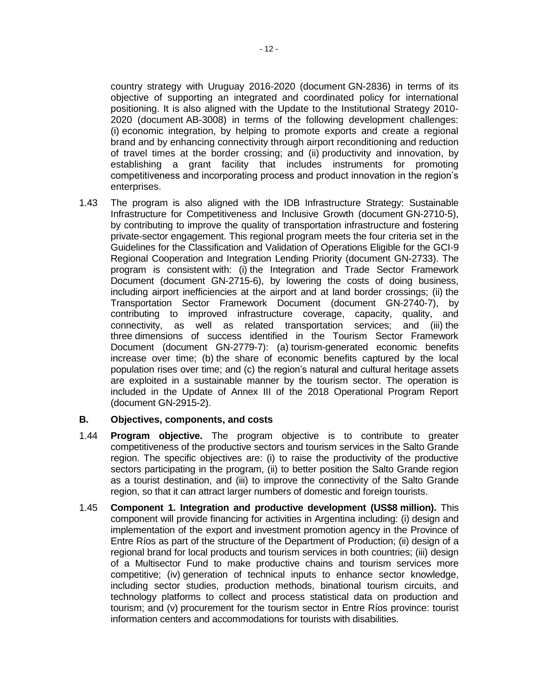country strategy with Uruguay 2016-2020 (document GN-2836) in terms of its objective of supporting an integrated and coordinated policy for international positioning. It is also aligned with the Update to the Institutional Strategy 2010- 2020 (document AB-3008) in terms of the following development challenges: (i) economic integration, by helping to promote exports and create a regional brand and by enhancing connectivity through airport reconditioning and reduction of travel times at the border crossing; and (ii) productivity and innovation, by establishing a grant facility that includes instruments for promoting competitiveness and incorporating process and product innovation in the region's enterprises.

1.43 The program is also aligned with the IDB Infrastructure Strategy: Sustainable Infrastructure for Competitiveness and Inclusive Growth (document GN-2710-5), by contributing to improve the quality of transportation infrastructure and fostering private-sector engagement. This regional program meets the four criteria set in the Guidelines for the Classification and Validation of Operations Eligible for the GCI-9 Regional Cooperation and Integration Lending Priority (document GN-2733). The program is consistent with: (i) the Integration and Trade Sector Framework Document (document GN-2715-6), by lowering the costs of doing business, including airport inefficiencies at the airport and at land border crossings; (ii) the Transportation Sector Framework Document (document GN-2740-7), by contributing to improved infrastructure coverage, capacity, quality, and connectivity, as well as related transportation services; and (iii) the three dimensions of success identified in the Tourism Sector Framework Document (document GN-2779-7): (a) tourism-generated economic benefits increase over time; (b) the share of economic benefits captured by the local population rises over time; and (c) the region's natural and cultural heritage assets are exploited in a sustainable manner by the tourism sector. The operation is included in the Update of Annex III of the 2018 Operational Program Report (document GN-2915-2).

## **B. Objectives, components, and costs**

- 1.44 **Program objective.** The program objective is to contribute to greater competitiveness of the productive sectors and tourism services in the Salto Grande region. The specific objectives are: (i) to raise the productivity of the productive sectors participating in the program, (ii) to better position the Salto Grande region as a tourist destination, and (iii) to improve the connectivity of the Salto Grande region, so that it can attract larger numbers of domestic and foreign tourists.
- 1.45 **Component 1. Integration and productive development (US\$8 million).** This component will provide financing for activities in Argentina including: (i) design and implementation of the export and investment promotion agency in the Province of Entre Ríos as part of the structure of the Department of Production; (ii) design of a regional brand for local products and tourism services in both countries; (iii) design of a Multisector Fund to make productive chains and tourism services more competitive; (iv) generation of technical inputs to enhance sector knowledge, including sector studies, production methods, binational tourism circuits, and technology platforms to collect and process statistical data on production and tourism; and (v) procurement for the tourism sector in Entre Ríos province: tourist information centers and accommodations for tourists with disabilities.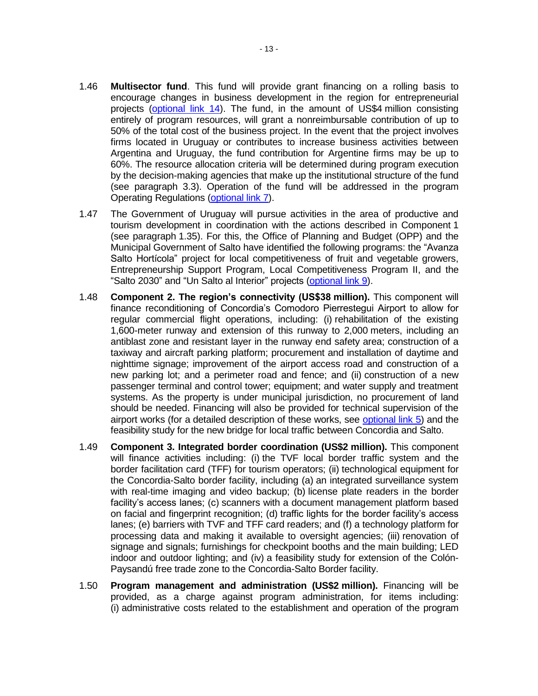- 1.46 **Multisector fund**. This fund will provide grant financing on a rolling basis to encourage changes in business development in the region for entrepreneurial projects [\(optional link 14\)](http://idbdocs.iadb.org/wsdocs/getDocument.aspx?DOCNUM=EZSHARE-567986568-34). The fund, in the amount of US\$4 million consisting entirely of program resources, will grant a nonreimbursable contribution of up to 50% of the total cost of the business project. In the event that the project involves firms located in Uruguay or contributes to increase business activities between Argentina and Uruguay, the fund contribution for Argentine firms may be up to 60%. The resource allocation criteria will be determined during program execution by the decision-making agencies that make up the institutional structure of the fund (see paragraph 3.3). Operation of the fund will be addressed in the program Operating Regulations [\(optional link 7\)](http://idbdocs.iadb.org/wsdocs/getDocument.aspx?DOCNUM=EZSHARE-567986568-13).
- 1.47 The Government of Uruguay will pursue activities in the area of productive and tourism development in coordination with the actions described in Component 1 (see paragraph 1.35). For this, the Office of Planning and Budget (OPP) and the Municipal Government of Salto have identified the following programs: the "Avanza Salto Hortícola" project for local competitiveness of fruit and vegetable growers, Entrepreneurship Support Program, Local Competitiveness Program II, and the "Salto 2030" and "Un Salto al Interior" projects [\(optional link 9\)](http://idbdocs.iadb.org/wsdocs/getDocument.aspx?DOCNUM=EZSHARE-567986568-15).
- 1.48 **Component 2. The region's connectivity (US\$38 million).** This component will finance reconditioning of Concordia's Comodoro Pierrestegui Airport to allow for regular commercial flight operations, including: (i) rehabilitation of the existing 1,600-meter runway and extension of this runway to 2,000 meters, including an antiblast zone and resistant layer in the runway end safety area; construction of a taxiway and aircraft parking platform; procurement and installation of daytime and nighttime signage; improvement of the airport access road and construction of a new parking lot; and a perimeter road and fence; and (ii) construction of a new passenger terminal and control tower; equipment; and water supply and treatment systems. As the property is under municipal jurisdiction, no procurement of land should be needed. Financing will also be provided for technical supervision of the airport works (for a detailed description of these works, see [optional link 5\)](http://idbdocs.iadb.org/wsdocs/getDocument.aspx?DOCNUM=EZSHARE-567986568-11) and the feasibility study for the new bridge for local traffic between Concordia and Salto.
- 1.49 **Component 3. Integrated border coordination (US\$2 million).** This component will finance activities including: (i) the TVF local border traffic system and the border facilitation card (TFF) for tourism operators; (ii) technological equipment for the Concordia-Salto border facility, including (a) an integrated surveillance system with real-time imaging and video backup; (b) license plate readers in the border facility's access lanes; (c) scanners with a document management platform based on facial and fingerprint recognition; (d) traffic lights for the border facility's access lanes; (e) barriers with TVF and TFF card readers; and (f) a technology platform for processing data and making it available to oversight agencies; (iii) renovation of signage and signals; furnishings for checkpoint booths and the main building; LED indoor and outdoor lighting; and (iv) a feasibility study for extension of the Colón-Paysandú free trade zone to the Concordia-Salto Border facility.
- 1.50 **Program management and administration (US\$2 million).** Financing will be provided, as a charge against program administration, for items including: (i) administrative costs related to the establishment and operation of the program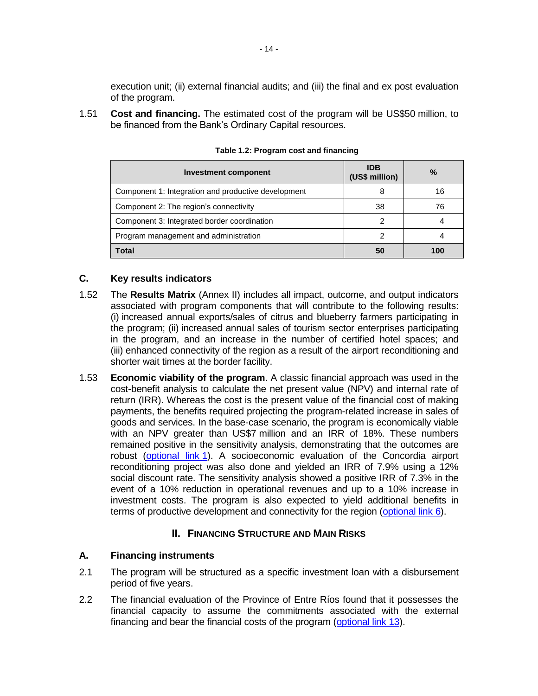execution unit; (ii) external financial audits; and (iii) the final and ex post evaluation of the program.

1.51 **Cost and financing.** The estimated cost of the program will be US\$50 million, to be financed from the Bank's Ordinary Capital resources.

| <b>Investment component</b>                         | <b>IDB</b><br>(US\$ million) | $\frac{0}{0}$ |
|-----------------------------------------------------|------------------------------|---------------|
| Component 1: Integration and productive development |                              | 16            |
| Component 2: The region's connectivity              | 38                           | 76            |
| Component 3: Integrated border coordination         | 2                            |               |
| Program management and administration               |                              |               |
| <b>Total</b>                                        | 50                           | 100           |

**Table 1.2: Program cost and financing**

## **C. Key results indicators**

- 1.52 The **Results Matrix** (Annex II) includes all impact, outcome, and output indicators associated with program components that will contribute to the following results: (i) increased annual exports/sales of citrus and blueberry farmers participating in the program; (ii) increased annual sales of tourism sector enterprises participating in the program, and an increase in the number of certified hotel spaces; and (iii) enhanced connectivity of the region as a result of the airport reconditioning and shorter wait times at the border facility.
- 1.53 **Economic viability of the program**. A classic financial approach was used in the cost-benefit analysis to calculate the net present value (NPV) and internal rate of return (IRR). Whereas the cost is the present value of the financial cost of making payments, the benefits required projecting the program-related increase in sales of goods and services. In the base-case scenario, the program is economically viable with an NPV greater than US\$7 million and an IRR of 18%. These numbers remained positive in the sensitivity analysis, demonstrating that the outcomes are robust [\(optional link](http://idbdocs.iadb.org/wsdocs/getDocument.aspx?DOCNUM=EZSHARE-567986568-25) 1). A socioeconomic evaluation of the Concordia airport reconditioning project was also done and yielded an IRR of 7.9% using a 12% social discount rate. The sensitivity analysis showed a positive IRR of 7.3% in the event of a 10% reduction in operational revenues and up to a 10% increase in investment costs. The program is also expected to yield additional benefits in terms of productive development and connectivity for the region [\(optional link 6\)](http://idbdocs.iadb.org/wsdocs/getDocument.aspx?DOCNUM=EZSHARE-567986568-12).

## **II. FINANCING STRUCTURE AND MAIN RISKS**

#### **A. Financing instruments**

- 2.1 The program will be structured as a specific investment loan with a disbursement period of five years.
- 2.2 The financial evaluation of the Province of Entre Ríos found that it possesses the financial capacity to assume the commitments associated with the external financing and bear the financial costs of the program [\(optional link 13\)](http://idbdocs.iadb.org/wsdocs/getDocument.aspx?DOCNUM=EZSHARE-567986568-33).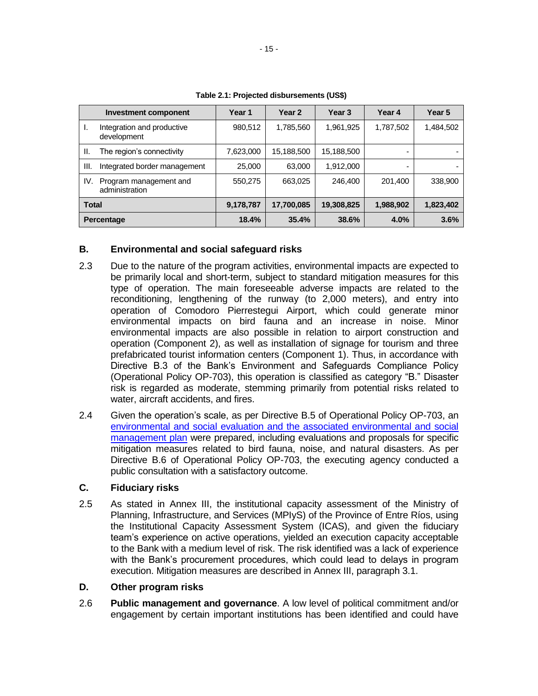|              | Investment component                      | Year 1    | Year <sub>2</sub> | Year <sub>3</sub> | Year 4    | Year 5    |
|--------------|-------------------------------------------|-----------|-------------------|-------------------|-----------|-----------|
| ı.           | Integration and productive<br>development | 980,512   | 1,785,560         | 1,961,925         | 1,787,502 | 1,484,502 |
| H.           | The region's connectivity                 | 7,623,000 | 15,188,500        | 15,188,500        |           |           |
| III.         | Integrated border management              | 25,000    | 63,000            | 1,912,000         |           |           |
| IV.          | Program management and<br>administration  | 550,275   | 663,025           | 246,400           | 201,400   | 338,900   |
| <b>Total</b> |                                           | 9,178,787 | 17,700,085        | 19,308,825        | 1,988,902 | 1,823,402 |
|              | Percentage                                | 18.4%     | 35.4%             | 38.6%             | 4.0%      | 3.6%      |

**Table 2.1: Projected disbursements (US\$)**

## **B. Environmental and social safeguard risks**

- 2.3 Due to the nature of the program activities, environmental impacts are expected to be primarily local and short-term, subject to standard mitigation measures for this type of operation. The main foreseeable adverse impacts are related to the reconditioning, lengthening of the runway (to 2,000 meters), and entry into operation of Comodoro Pierrestegui Airport, which could generate minor environmental impacts on bird fauna and an increase in noise. Minor environmental impacts are also possible in relation to airport construction and operation (Component 2), as well as installation of signage for tourism and three prefabricated tourist information centers (Component 1). Thus, in accordance with Directive B.3 of the Bank's Environment and Safeguards Compliance Policy (Operational Policy OP-703), this operation is classified as category "B." Disaster risk is regarded as moderate, stemming primarily from potential risks related to water, aircraft accidents, and fires.
- 2.4 Given the operation's scale, as per Directive B.5 of Operational Policy OP-703, an [environmental and social evaluation and the associated environmental and social](http://idbdocs.iadb.org/wsdocs/getDocument.aspx?DOCNUM=EZSHARE-791467174-11)  [management plan](http://idbdocs.iadb.org/wsdocs/getDocument.aspx?DOCNUM=EZSHARE-791467174-11) were prepared, including evaluations and proposals for specific mitigation measures related to bird fauna, noise, and natural disasters. As per Directive B.6 of Operational Policy OP-703, the executing agency conducted a public consultation with a satisfactory outcome.

## **C. Fiduciary risks**

2.5 As stated in Annex III, the institutional capacity assessment of the Ministry of Planning, Infrastructure, and Services (MPIyS) of the Province of Entre Ríos, using the Institutional Capacity Assessment System (ICAS), and given the fiduciary team's experience on active operations, yielded an execution capacity acceptable to the Bank with a medium level of risk. The risk identified was a lack of experience with the Bank's procurement procedures, which could lead to delays in program execution. Mitigation measures are described in Annex III, paragraph 3.1.

## **D. Other program risks**

2.6 **Public management and governance**. A low level of political commitment and/or engagement by certain important institutions has been identified and could have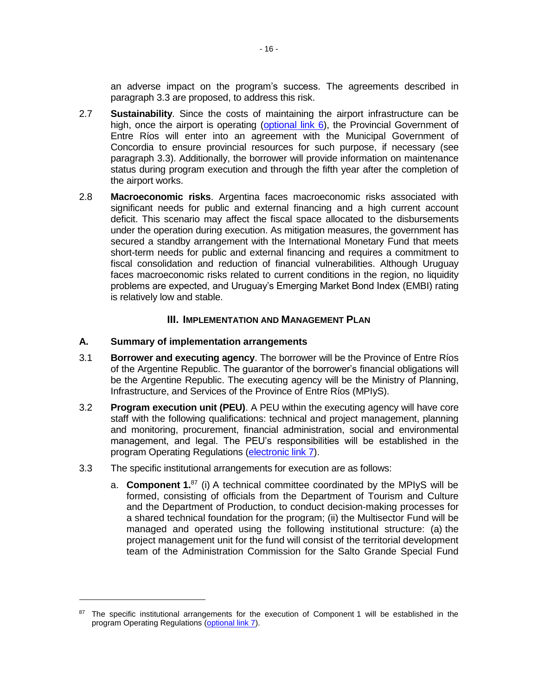an adverse impact on the program's success. The agreements described in paragraph 3.3 are proposed, to address this risk.

- 2.7 **Sustainability**. Since the costs of maintaining the airport infrastructure can be high, once the airport is operating [\(optional link 6\)](http://idbdocs.iadb.org/wsdocs/getDocument.aspx?DOCNUM=EZSHARE-567986568-12), the Provincial Government of Entre Ríos will enter into an agreement with the Municipal Government of Concordia to ensure provincial resources for such purpose, if necessary (see paragraph 3.3). Additionally, the borrower will provide information on maintenance status during program execution and through the fifth year after the completion of the airport works.
- 2.8 **Macroeconomic risks**. Argentina faces macroeconomic risks associated with significant needs for public and external financing and a high current account deficit. This scenario may affect the fiscal space allocated to the disbursements under the operation during execution. As mitigation measures, the government has secured a standby arrangement with the International Monetary Fund that meets short-term needs for public and external financing and requires a commitment to fiscal consolidation and reduction of financial vulnerabilities. Although Uruguay faces macroeconomic risks related to current conditions in the region, no liquidity problems are expected, and Uruguay's Emerging Market Bond Index (EMBI) rating is relatively low and stable.

## **III. IMPLEMENTATION AND MANAGEMENT PLAN**

## **A. Summary of implementation arrangements**

 $\overline{a}$ 

- 3.1 **Borrower and executing agency**. The borrower will be the Province of Entre Ríos of the Argentine Republic. The guarantor of the borrower's financial obligations will be the Argentine Republic. The executing agency will be the Ministry of Planning, Infrastructure, and Services of the Province of Entre Ríos (MPIyS).
- 3.2 **Program execution unit (PEU)**. A PEU within the executing agency will have core staff with the following qualifications: technical and project management, planning and monitoring, procurement, financial administration, social and environmental management, and legal. The PEU's responsibilities will be established in the program Operating Regulations [\(electronic link 7\)](http://idbdocs.iadb.org/wsdocs/getDocument.aspx?DOCNUM=EZSHARE-567986568-13).
- 3.3 The specific institutional arrangements for execution are as follows:
	- a. **Component 1.** <sup>87</sup> (i) A technical committee coordinated by the MPIyS will be formed, consisting of officials from the Department of Tourism and Culture and the Department of Production, to conduct decision-making processes for a shared technical foundation for the program; (ii) the Multisector Fund will be managed and operated using the following institutional structure: (a) the project management unit for the fund will consist of the territorial development team of the Administration Commission for the Salto Grande Special Fund

<sup>87</sup> The specific institutional arrangements for the execution of Component 1 will be established in the program Operating Regulations [\(optional link 7\)](http://idbdocs.iadb.org/wsdocs/getDocument.aspx?DOCNUM=EZSHARE-567986568-13).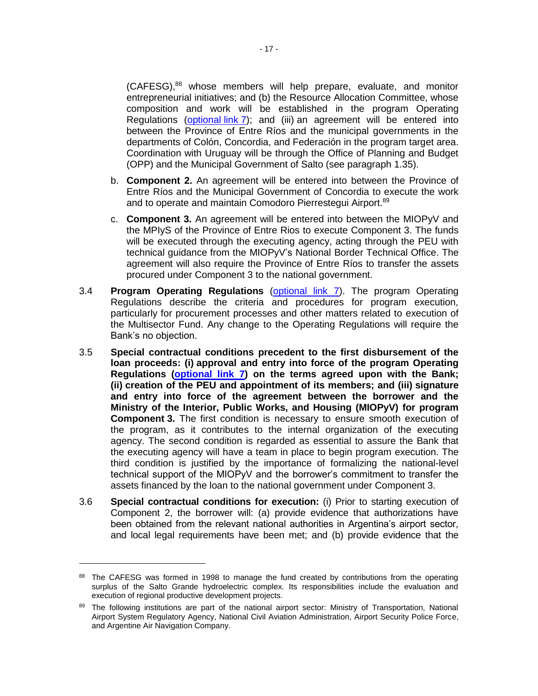(CAFESG), <sup>88</sup> whose members will help prepare, evaluate, and monitor entrepreneurial initiatives; and (b) the Resource Allocation Committee, whose composition and work will be established in the program Operating Regulations [\(optional](http://idbdocs.iadb.org/wsdocs/getDocument.aspx?DOCNUM=EZSHARE-567986568-13) link  $7$ ); and (iii) an agreement will be entered into between the Province of Entre Ríos and the municipal governments in the departments of Colón, Concordia, and Federación in the program target area. Coordination with Uruguay will be through the Office of Planning and Budget (OPP) and the Municipal Government of Salto (see paragraph 1.35).

- b. **Component 2.** An agreement will be entered into between the Province of Entre Ríos and the Municipal Government of Concordia to execute the work and to operate and maintain Comodoro Pierrestegui Airport.<sup>89</sup>
- c. **Component 3.** An agreement will be entered into between the MIOPyV and the MPIyS of the Province of Entre Rios to execute Component 3. The funds will be executed through the executing agency, acting through the PEU with technical guidance from the MIOPyV's National Border Technical Office. The agreement will also require the Province of Entre Ríos to transfer the assets procured under Component 3 to the national government.
- 3.4 **Program Operating Regulations** [\(optional link 7\)](http://idbdocs.iadb.org/wsdocs/getDocument.aspx?DOCNUM=EZSHARE-567986568-13). The program Operating Regulations describe the criteria and procedures for program execution, particularly for procurement processes and other matters related to execution of the Multisector Fund. Any change to the Operating Regulations will require the Bank's no objection.
- 3.5 **Special contractual conditions precedent to the first disbursement of the loan proceeds: (i) approval and entry into force of the program Operating Regulations [\(optional link 7\)](http://idbdocs.iadb.org/wsdocs/getDocument.aspx?DOCNUM=EZSHARE-567986568-13) on the terms agreed upon with the Bank; (ii) creation of the PEU and appointment of its members; and (iii) signature and entry into force of the agreement between the borrower and the Ministry of the Interior, Public Works, and Housing (MIOPyV) for program Component 3.** The first condition is necessary to ensure smooth execution of the program, as it contributes to the internal organization of the executing agency. The second condition is regarded as essential to assure the Bank that the executing agency will have a team in place to begin program execution. The third condition is justified by the importance of formalizing the national-level technical support of the MIOPyV and the borrower's commitment to transfer the assets financed by the loan to the national government under Component 3.
- 3.6 **Special contractual conditions for execution:** (i) Prior to starting execution of Component 2, the borrower will: (a) provide evidence that authorizations have been obtained from the relevant national authorities in Argentina's airport sector, and local legal requirements have been met; and (b) provide evidence that the

<sup>88</sup> The CAFESG was formed in 1998 to manage the fund created by contributions from the operating surplus of the Salto Grande hydroelectric complex. Its responsibilities include the evaluation and execution of regional productive development projects.

<sup>&</sup>lt;sup>89</sup> The following institutions are part of the national airport sector: Ministry of Transportation, National Airport System Regulatory Agency, National Civil Aviation Administration, Airport Security Police Force, and Argentine Air Navigation Company.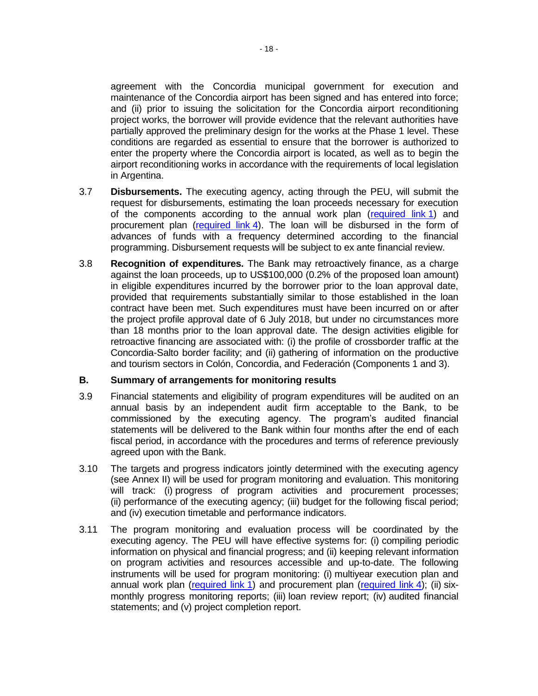agreement with the Concordia municipal government for execution and maintenance of the Concordia airport has been signed and has entered into force; and (ii) prior to issuing the solicitation for the Concordia airport reconditioning project works, the borrower will provide evidence that the relevant authorities have partially approved the preliminary design for the works at the Phase 1 level. These conditions are regarded as essential to ensure that the borrower is authorized to enter the property where the Concordia airport is located, as well as to begin the airport reconditioning works in accordance with the requirements of local legislation in Argentina.

- 3.7 **Disbursements.** The executing agency, acting through the PEU, will submit the request for disbursements, estimating the loan proceeds necessary for execution of the components according to the annual work plan [\(required link](http://idbdocs.iadb.org/wsdocs/getDocument.aspx?DOCNUM=EZSHARE-567986568-18) 1) and procurement plan [\(required link](http://idbdocs.iadb.org/wsdocs/getDocument.aspx?DOCNUM=EZSHARE-567986568-23) 4). The loan will be disbursed in the form of advances of funds with a frequency determined according to the financial programming. Disbursement requests will be subject to ex ante financial review.
- 3.8 **Recognition of expenditures.** The Bank may retroactively finance, as a charge against the loan proceeds, up to US\$100,000 (0.2% of the proposed loan amount) in eligible expenditures incurred by the borrower prior to the loan approval date, provided that requirements substantially similar to those established in the loan contract have been met. Such expenditures must have been incurred on or after the project profile approval date of 6 July 2018, but under no circumstances more than 18 months prior to the loan approval date. The design activities eligible for retroactive financing are associated with: (i) the profile of crossborder traffic at the Concordia-Salto border facility; and (ii) gathering of information on the productive and tourism sectors in Colón, Concordia, and Federación (Components 1 and 3).

#### **B. Summary of arrangements for monitoring results**

- 3.9 Financial statements and eligibility of program expenditures will be audited on an annual basis by an independent audit firm acceptable to the Bank, to be commissioned by the executing agency. The program's audited financial statements will be delivered to the Bank within four months after the end of each fiscal period, in accordance with the procedures and terms of reference previously agreed upon with the Bank.
- 3.10 The targets and progress indicators jointly determined with the executing agency (see Annex II) will be used for program monitoring and evaluation. This monitoring will track: (i) progress of program activities and procurement processes; (ii) performance of the executing agency; (iii) budget for the following fiscal period; and (iv) execution timetable and performance indicators.
- 3.11 The program monitoring and evaluation process will be coordinated by the executing agency. The PEU will have effective systems for: (i) compiling periodic information on physical and financial progress; and (ii) keeping relevant information on program activities and resources accessible and up-to-date. The following instruments will be used for program monitoring: (i) multiyear execution plan and annual work plan [\(required link](http://idbdocs.iadb.org/wsdocs/getDocument.aspx?DOCNUM=EZSHARE-567986568-23) 1) and procurement plan (required link 4); (ii) sixmonthly progress monitoring reports; (iii) loan review report; (iv) audited financial statements; and (v) project completion report.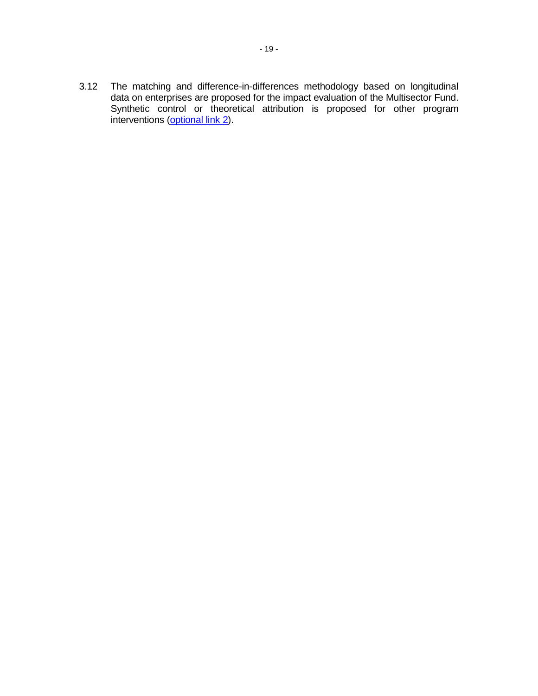3.12 The matching and difference-in-differences methodology based on longitudinal data on enterprises are proposed for the impact evaluation of the Multisector Fund. Synthetic control or theoretical attribution is proposed for other program interventions [\(optional link](http://idbdocs.iadb.org/wsdocs/getDocument.aspx?DOCNUM=EZSHARE-567986568-9) 2).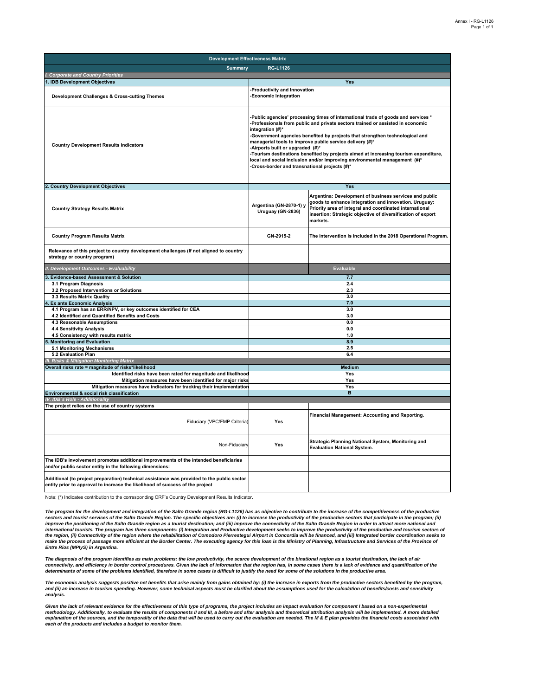| <b>Development Effectiveness Matrix</b>                                                                                                                                     |                                                                                                                                                                                                                                                                                                                                                                                                                                                                                                                                                                                              |                                                                                                                                                                                                                                                       |  |  |  |  |  |  |  |
|-----------------------------------------------------------------------------------------------------------------------------------------------------------------------------|----------------------------------------------------------------------------------------------------------------------------------------------------------------------------------------------------------------------------------------------------------------------------------------------------------------------------------------------------------------------------------------------------------------------------------------------------------------------------------------------------------------------------------------------------------------------------------------------|-------------------------------------------------------------------------------------------------------------------------------------------------------------------------------------------------------------------------------------------------------|--|--|--|--|--|--|--|
| <b>Summary</b>                                                                                                                                                              | <b>RG-L1126</b>                                                                                                                                                                                                                                                                                                                                                                                                                                                                                                                                                                              |                                                                                                                                                                                                                                                       |  |  |  |  |  |  |  |
| . Corporate and Country Priorities                                                                                                                                          |                                                                                                                                                                                                                                                                                                                                                                                                                                                                                                                                                                                              |                                                                                                                                                                                                                                                       |  |  |  |  |  |  |  |
| <b>IDB Development Objectives</b>                                                                                                                                           |                                                                                                                                                                                                                                                                                                                                                                                                                                                                                                                                                                                              | Yes                                                                                                                                                                                                                                                   |  |  |  |  |  |  |  |
| Development Challenges & Cross-cutting Themes                                                                                                                               | Productivity and Innovation<br>-Economic Integration                                                                                                                                                                                                                                                                                                                                                                                                                                                                                                                                         |                                                                                                                                                                                                                                                       |  |  |  |  |  |  |  |
| <b>Country Development Results Indicators</b>                                                                                                                               | -Public agencies' processing times of international trade of goods and services *<br>Professionals from public and private sectors trained or assisted in economic<br>integration (#)*<br>-Government agencies benefited by projects that strengthen technological and<br>managerial tools to improve public service delivery (#)*<br>-Airports built or upgraded (#)*<br>-Tourism destinations benefited by projects aimed at increasing tourism expenditure,<br>local and social inclusion and/or improving environmental management (#)*<br>-Cross-border and transnational projects (#)* |                                                                                                                                                                                                                                                       |  |  |  |  |  |  |  |
| <b>Country Development Objectives</b>                                                                                                                                       |                                                                                                                                                                                                                                                                                                                                                                                                                                                                                                                                                                                              | Yes                                                                                                                                                                                                                                                   |  |  |  |  |  |  |  |
| <b>Country Strategy Results Matrix</b>                                                                                                                                      | Argentina (GN-2870-1) y<br>Uruguay (GN-2836)                                                                                                                                                                                                                                                                                                                                                                                                                                                                                                                                                 | Argentina: Development of business services and public<br>goods to enhance integration and innovation. Uruguay:<br>Priority area of integral and coordinated international<br>insertion; Strategic objective of diversification of export<br>markets. |  |  |  |  |  |  |  |
| <b>Country Program Results Matrix</b>                                                                                                                                       | GN-2915-2                                                                                                                                                                                                                                                                                                                                                                                                                                                                                                                                                                                    | The intervention is included in the 2018 Operational Program.                                                                                                                                                                                         |  |  |  |  |  |  |  |
| Relevance of this project to country development challenges (If not aligned to country<br>strategy or country program)                                                      |                                                                                                                                                                                                                                                                                                                                                                                                                                                                                                                                                                                              |                                                                                                                                                                                                                                                       |  |  |  |  |  |  |  |
| II. Development Outcomes - Evaluability                                                                                                                                     |                                                                                                                                                                                                                                                                                                                                                                                                                                                                                                                                                                                              | <b>Evaluable</b>                                                                                                                                                                                                                                      |  |  |  |  |  |  |  |
| <b>Evidence-based Assessment &amp; Solution</b>                                                                                                                             |                                                                                                                                                                                                                                                                                                                                                                                                                                                                                                                                                                                              | 7.7                                                                                                                                                                                                                                                   |  |  |  |  |  |  |  |
| 3.1 Program Diagnosis                                                                                                                                                       |                                                                                                                                                                                                                                                                                                                                                                                                                                                                                                                                                                                              | 2.4                                                                                                                                                                                                                                                   |  |  |  |  |  |  |  |
| 3.2 Proposed Interventions or Solutions                                                                                                                                     |                                                                                                                                                                                                                                                                                                                                                                                                                                                                                                                                                                                              | 2.3                                                                                                                                                                                                                                                   |  |  |  |  |  |  |  |
| 3.3 Results Matrix Quality                                                                                                                                                  | 3.0                                                                                                                                                                                                                                                                                                                                                                                                                                                                                                                                                                                          |                                                                                                                                                                                                                                                       |  |  |  |  |  |  |  |
| <b>Ex ante Economic Analysis</b>                                                                                                                                            | 7.0<br>3.0                                                                                                                                                                                                                                                                                                                                                                                                                                                                                                                                                                                   |                                                                                                                                                                                                                                                       |  |  |  |  |  |  |  |
| 4.1 Program has an ERR/NPV, or key outcomes identified for CEA<br>4.2 Identified and Quantified Benefits and Costs                                                          |                                                                                                                                                                                                                                                                                                                                                                                                                                                                                                                                                                                              | 3.0                                                                                                                                                                                                                                                   |  |  |  |  |  |  |  |
| 4.3 Reasonable Assumptions                                                                                                                                                  |                                                                                                                                                                                                                                                                                                                                                                                                                                                                                                                                                                                              | 0.0                                                                                                                                                                                                                                                   |  |  |  |  |  |  |  |
| 4.4 Sensitivity Analysis                                                                                                                                                    |                                                                                                                                                                                                                                                                                                                                                                                                                                                                                                                                                                                              | 0.0                                                                                                                                                                                                                                                   |  |  |  |  |  |  |  |
| 4.5 Consistency with results matrix                                                                                                                                         |                                                                                                                                                                                                                                                                                                                                                                                                                                                                                                                                                                                              | 1.0                                                                                                                                                                                                                                                   |  |  |  |  |  |  |  |
| <b>Monitoring and Evaluation</b>                                                                                                                                            |                                                                                                                                                                                                                                                                                                                                                                                                                                                                                                                                                                                              | 8.9                                                                                                                                                                                                                                                   |  |  |  |  |  |  |  |
| 5.1 Monitoring Mechanisms                                                                                                                                                   |                                                                                                                                                                                                                                                                                                                                                                                                                                                                                                                                                                                              | 2.5                                                                                                                                                                                                                                                   |  |  |  |  |  |  |  |
| 5.2 Evaluation Plan                                                                                                                                                         |                                                                                                                                                                                                                                                                                                                                                                                                                                                                                                                                                                                              | 6.4                                                                                                                                                                                                                                                   |  |  |  |  |  |  |  |
| <b>Risks &amp; Mitigation Monitoring Matrix</b><br>Overall risks rate = magnitude of risks*likelihood                                                                       |                                                                                                                                                                                                                                                                                                                                                                                                                                                                                                                                                                                              |                                                                                                                                                                                                                                                       |  |  |  |  |  |  |  |
| Identified risks have been rated for magnitude and likelihood                                                                                                               |                                                                                                                                                                                                                                                                                                                                                                                                                                                                                                                                                                                              | Medium<br>Yes                                                                                                                                                                                                                                         |  |  |  |  |  |  |  |
| Mitigation measures have been identified for major risks                                                                                                                    |                                                                                                                                                                                                                                                                                                                                                                                                                                                                                                                                                                                              | Yes                                                                                                                                                                                                                                                   |  |  |  |  |  |  |  |
| Mitigation measures have indicators for tracking their implementation                                                                                                       |                                                                                                                                                                                                                                                                                                                                                                                                                                                                                                                                                                                              | Yes                                                                                                                                                                                                                                                   |  |  |  |  |  |  |  |
| Environmental & social risk classification                                                                                                                                  |                                                                                                                                                                                                                                                                                                                                                                                                                                                                                                                                                                                              | $\overline{B}$                                                                                                                                                                                                                                        |  |  |  |  |  |  |  |
| IV. IDB's Role - Additionality                                                                                                                                              |                                                                                                                                                                                                                                                                                                                                                                                                                                                                                                                                                                                              |                                                                                                                                                                                                                                                       |  |  |  |  |  |  |  |
| The project relies on the use of country systems                                                                                                                            |                                                                                                                                                                                                                                                                                                                                                                                                                                                                                                                                                                                              |                                                                                                                                                                                                                                                       |  |  |  |  |  |  |  |
| Fiduciary (VPC/FMP Criteria)                                                                                                                                                | Yes                                                                                                                                                                                                                                                                                                                                                                                                                                                                                                                                                                                          | Financial Management: Accounting and Reporting.                                                                                                                                                                                                       |  |  |  |  |  |  |  |
| Non-Fiduciary                                                                                                                                                               | Yes                                                                                                                                                                                                                                                                                                                                                                                                                                                                                                                                                                                          | Strategic Planning National System, Monitoring and<br><b>Evaluation National System.</b>                                                                                                                                                              |  |  |  |  |  |  |  |
| The IDB's involvement promotes additional improvements of the intended beneficiaries<br>and/or public sector entity in the following dimensions:                            |                                                                                                                                                                                                                                                                                                                                                                                                                                                                                                                                                                                              |                                                                                                                                                                                                                                                       |  |  |  |  |  |  |  |
| Additional (to project preparation) technical assistance was provided to the public sector<br>entity prior to approval to increase the likelihood of success of the project |                                                                                                                                                                                                                                                                                                                                                                                                                                                                                                                                                                                              |                                                                                                                                                                                                                                                       |  |  |  |  |  |  |  |

Note: (\*) Indicates contribution to the corresponding CRF's Country Development Results Indicator.

The program for the development and integration of the Salto Grande region (RG-L1126) has as objective to contribute to the increase of the competitiveness of the productive<br>sectors and tourist services of the Salto Grande improve the positioning of the Salto Grande region as a tourist destination; and (iii) improve the connectivity of the Salto Grande Region in order to attract more national and<br>international tourists. The program has three the region, (ii) Connectivity of the region where the rehabilitation of Comodoro Pierrestegui Airport in Concordia will be financed, and (iii) Integrated border coordination seeks to<br>make the process of passage more effici *Entre Rios (MPIyS) in Argentina.*

*The diagnosis of the program identifies as main problems: the low productivity, the scarce development of the binational region as a tourist destination, the lack of air*  connectivity, and efficiency in border control procedures. Given the lack of information that the region has, in some cases there is a lack of evidence and quantification of the<br>determinants of some of the problems identif

*The economic analysis suggests positive net benefits that arise mainly from gains obtained by: (i) the increase in exports from the productive sectors benefited by the program,*  and (ii) an increase in tourism spending. However, some technical aspects must be clarified about the assumptions used for the calculation of benefits/costs and sensitivity *analysis.*

Given the lack of relevant evidence for the effectiveness of this type of programs, the project includes an impact evaluation for component I based on a non-experimental<br>methodology. Additionally, to evaluate the results o *each of the products and includes a budget to monitor them.*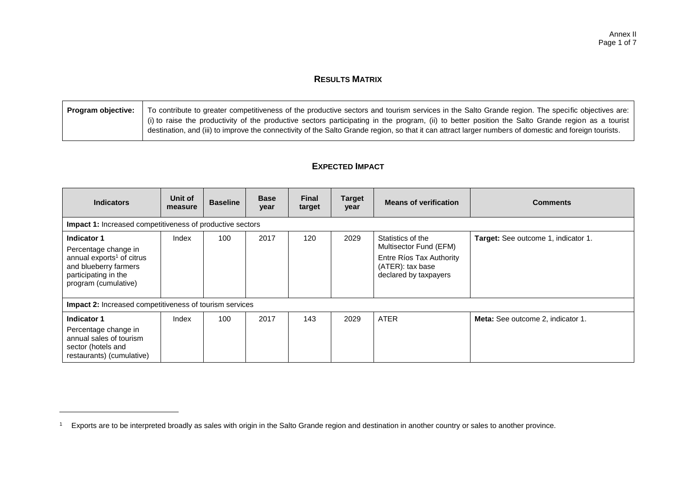## **RESULTS MATRIX**

| <b>Program objective:</b> | To contribute to greater competitiveness of the productive sectors and tourism services in the Salto Grande region. The specific objectives are:       |
|---------------------------|--------------------------------------------------------------------------------------------------------------------------------------------------------|
|                           | (i) to raise the productivity of the productive sectors participating in the program, (ii) to better position the Salto Grande region as a tourist     |
|                           | destination, and (iii) to improve the connectivity of the Salto Grande region, so that it can attract larger numbers of domestic and foreign tourists. |
|                           |                                                                                                                                                        |

## **EXPECTED IMPACT**

| <b>Indicators</b>                                                                                                                                     | Unit of<br>measure | <b>Baseline</b> | <b>Base</b><br>year | <b>Final</b><br>target | <b>Target</b><br>year | <b>Means of verification</b>                                                                                         | <b>Comments</b>                          |  |  |  |  |
|-------------------------------------------------------------------------------------------------------------------------------------------------------|--------------------|-----------------|---------------------|------------------------|-----------------------|----------------------------------------------------------------------------------------------------------------------|------------------------------------------|--|--|--|--|
| Impact 1: Increased competitiveness of productive sectors                                                                                             |                    |                 |                     |                        |                       |                                                                                                                      |                                          |  |  |  |  |
| Indicator 1<br>Percentage change in<br>annual exports <sup>1</sup> of citrus<br>and blueberry farmers<br>participating in the<br>program (cumulative) | Index              | 100             | 2017                | 120                    | 2029                  | Statistics of the<br>Multisector Fund (EFM)<br>Entre Ríos Tax Authority<br>(ATER): tax base<br>declared by taxpayers | Target: See outcome 1, indicator 1.      |  |  |  |  |
| <b>Impact 2:</b> Increased competitiveness of tourism services                                                                                        |                    |                 |                     |                        |                       |                                                                                                                      |                                          |  |  |  |  |
| Indicator 1<br>Percentage change in<br>annual sales of tourism<br>sector (hotels and<br>restaurants) (cumulative)                                     | Index              | 100             | 2017                | 143                    | 2029                  | <b>ATER</b>                                                                                                          | <b>Meta:</b> See outcome 2, indicator 1. |  |  |  |  |

<sup>&</sup>lt;sup>1</sup> Exports are to be interpreted broadly as sales with origin in the Salto Grande region and destination in another country or sales to another province.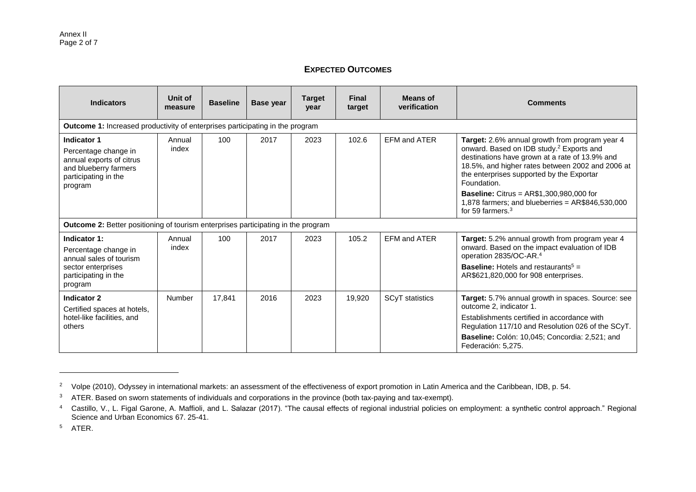## **EXPECTED OUTCOMES**

| <b>Indicators</b>                                                                                                                  | Unit of<br>measure | <b>Baseline</b> | <b>Base year</b> | <b>Target</b><br>year | <b>Final</b><br>target | <b>Means of</b><br>verification | <b>Comments</b>                                                                                                                                                                                                                                                          |  |  |  |  |
|------------------------------------------------------------------------------------------------------------------------------------|--------------------|-----------------|------------------|-----------------------|------------------------|---------------------------------|--------------------------------------------------------------------------------------------------------------------------------------------------------------------------------------------------------------------------------------------------------------------------|--|--|--|--|
| Outcome 1: Increased productivity of enterprises participating in the program                                                      |                    |                 |                  |                       |                        |                                 |                                                                                                                                                                                                                                                                          |  |  |  |  |
| <b>Indicator 1</b><br>Percentage change in<br>annual exports of citrus<br>and blueberry farmers<br>participating in the<br>program | Annual<br>index    | 100             | 2017             | 2023                  | 102.6                  | <b>EFM and ATER</b>             | Target: 2.6% annual growth from program year 4<br>onward. Based on IDB study. <sup>2</sup> Exports and<br>destinations have grown at a rate of 13.9% and<br>18.5%, and higher rates between 2002 and 2006 at<br>the enterprises supported by the Exportar<br>Foundation. |  |  |  |  |
|                                                                                                                                    |                    |                 |                  |                       |                        |                                 | <b>Baseline: Citrus = AR\$1,300,980,000 for</b><br>1,878 farmers; and blueberries = $AR$846,530,000$<br>for 59 farmers. $3$                                                                                                                                              |  |  |  |  |
| <b>Outcome 2: Better positioning of tourism enterprises participating in the program</b>                                           |                    |                 |                  |                       |                        |                                 |                                                                                                                                                                                                                                                                          |  |  |  |  |
| Indicator 1:<br>Percentage change in<br>annual sales of tourism                                                                    | Annual<br>index    | 100             | 2017             | 2023                  | 105.2                  | <b>EFM and ATER</b>             | Target: 5.2% annual growth from program year 4<br>onward. Based on the impact evaluation of IDB<br>operation 2835/OC-AR. <sup>4</sup>                                                                                                                                    |  |  |  |  |
| sector enterprises<br>participating in the<br>program                                                                              |                    |                 |                  |                       |                        |                                 | <b>Baseline:</b> Hotels and restaurants <sup>5</sup> =<br>AR\$621,820,000 for 908 enterprises.                                                                                                                                                                           |  |  |  |  |
| <b>Indicator 2</b><br>Certified spaces at hotels,                                                                                  | <b>Number</b>      | 17.841          | 2016             | 2023                  | 19,920                 | SCyT statistics                 | Target: 5.7% annual growth in spaces. Source: see<br>outcome 2, indicator 1.                                                                                                                                                                                             |  |  |  |  |
| hotel-like facilities, and<br>others                                                                                               |                    |                 |                  |                       |                        |                                 | Establishments certified in accordance with<br>Regulation 117/10 and Resolution 026 of the SCyT.                                                                                                                                                                         |  |  |  |  |
|                                                                                                                                    |                    |                 |                  |                       |                        |                                 | Baseline: Colón: 10,045; Concordia: 2,521; and<br>Federación: 5,275.                                                                                                                                                                                                     |  |  |  |  |

 $\overline{a}$ 

<sup>&</sup>lt;sup>2</sup> Volpe (2010), Odyssey in international markets: an assessment of the effectiveness of export promotion in Latin America and the Caribbean, IDB, p. 54.

<sup>&</sup>lt;sup>3</sup> ATER. Based on sworn statements of individuals and corporations in the province (both tax-paying and tax-exempt).

<sup>4</sup> Castillo, V., L. Figal Garone, A. Maffioli, and L. Salazar (2017). "The causal effects of regional industrial policies on employment: a synthetic control approach." Regional Science and Urban Economics 67. 25-41.

<sup>5</sup> ATER.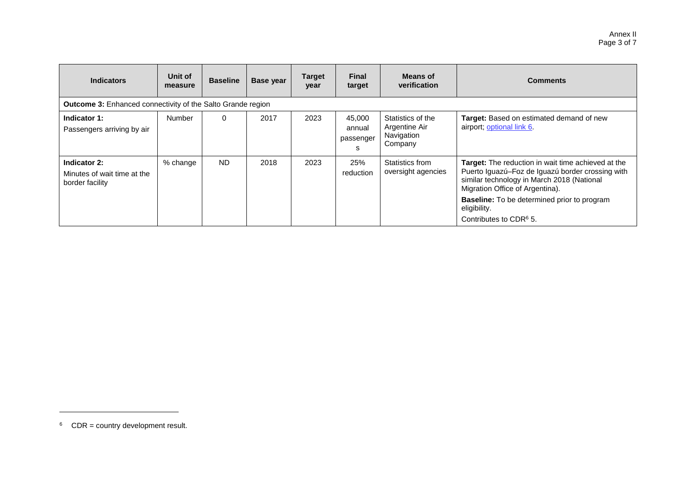| <b>Indicators</b>                                              | Unit of<br>measure | <b>Baseline</b> | Base year | <b>Target</b><br>year | <b>Final</b><br>target             | <b>Means of</b><br>verification                             | <b>Comments</b>                                                                                                                                                                                                                                                                                            |  |  |  |
|----------------------------------------------------------------|--------------------|-----------------|-----------|-----------------------|------------------------------------|-------------------------------------------------------------|------------------------------------------------------------------------------------------------------------------------------------------------------------------------------------------------------------------------------------------------------------------------------------------------------------|--|--|--|
| Outcome 3: Enhanced connectivity of the Salto Grande region    |                    |                 |           |                       |                                    |                                                             |                                                                                                                                                                                                                                                                                                            |  |  |  |
| Indicator 1:<br>Passengers arriving by air                     | Number             | 0               | 2017      | 2023                  | 45.000<br>annual<br>passenger<br>s | Statistics of the<br>Argentine Air<br>Navigation<br>Company | Target: Based on estimated demand of new<br>airport; optional link 6.                                                                                                                                                                                                                                      |  |  |  |
| Indicator 2:<br>Minutes of wait time at the<br>border facility | % change           | <b>ND</b>       | 2018      | 2023                  | 25%<br>reduction                   | Statistics from<br>oversight agencies                       | <b>Target:</b> The reduction in wait time achieved at the<br>Puerto Iguazú-Foz de Iguazú border crossing with<br>similar technology in March 2018 (National<br>Migration Office of Argentina).<br><b>Baseline:</b> To be determined prior to program<br>eligibility.<br>Contributes to CDR <sup>6</sup> 5. |  |  |  |

l

 $6$  CDR = country development result.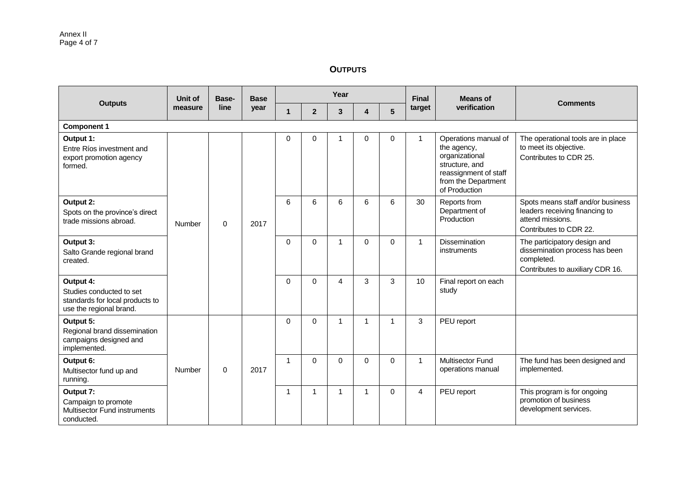**OUTPUTS**

|                                                                                                     | Unit of | Base-    | <b>Base</b> |                |                | Year     |   |              | <b>Final</b> | <b>Means of</b>                                                                                                                          |                                                                                                                   |          |          |   |   |          |             |                                     |                                                                                                                  |
|-----------------------------------------------------------------------------------------------------|---------|----------|-------------|----------------|----------------|----------|---|--------------|--------------|------------------------------------------------------------------------------------------------------------------------------------------|-------------------------------------------------------------------------------------------------------------------|----------|----------|---|---|----------|-------------|-------------------------------------|------------------------------------------------------------------------------------------------------------------|
| <b>Outputs</b>                                                                                      | measure | line     | year        | $\mathbf{1}$   | $\overline{2}$ | 3        | 4 | 5            | target       | verification                                                                                                                             | <b>Comments</b>                                                                                                   |          |          |   |   |          |             |                                     |                                                                                                                  |
| <b>Component 1</b>                                                                                  |         |          |             |                |                |          |   |              |              |                                                                                                                                          |                                                                                                                   |          |          |   |   |          |             |                                     |                                                                                                                  |
| Output 1:<br>Entre Ríos investment and<br>export promotion agency<br>formed.                        |         |          |             | 0              | 0              |          | 0 | 0            | 1            | Operations manual of<br>the agency,<br>organizational<br>structure, and<br>reassignment of staff<br>from the Department<br>of Production | The operational tools are in place<br>to meet its objective.<br>Contributes to CDR 25.                            |          |          |   |   |          |             |                                     |                                                                                                                  |
| Output 2:<br>Spots on the province's direct<br>trade missions abroad.                               | Number  | $\Omega$ | 2017        | 6              | 6              | 6        | 6 | 6            | 30           | Reports from<br>Department of<br>Production                                                                                              | Spots means staff and/or business<br>leaders receiving financing to<br>attend missions.<br>Contributes to CDR 22. |          |          |   |   |          |             |                                     |                                                                                                                  |
| Output 3:<br>Salto Grande regional brand<br>created.                                                |         |          |             |                |                |          |   |              |              |                                                                                                                                          |                                                                                                                   | $\Omega$ | $\Omega$ | 1 | 0 | $\Omega$ | $\mathbf 1$ | <b>Dissemination</b><br>instruments | The participatory design and<br>dissemination process has been<br>completed.<br>Contributes to auxiliary CDR 16. |
| Output 4:<br>Studies conducted to set<br>standards for local products to<br>use the regional brand. |         |          |             |                | $\Omega$       | $\Omega$ | 4 | 3            | 3            | 10                                                                                                                                       | Final report on each<br>study                                                                                     |          |          |   |   |          |             |                                     |                                                                                                                  |
| Output 5:<br>Regional brand dissemination<br>campaigns designed and<br>implemented.                 |         |          |             | $\mathbf 0$    | 0              | 1        | 1 | $\mathbf{1}$ | 3            | PEU report                                                                                                                               |                                                                                                                   |          |          |   |   |          |             |                                     |                                                                                                                  |
| Output 6:<br>Multisector fund up and<br>running.                                                    | Number  | $\Omega$ | 2017        | $\overline{1}$ | $\Omega$       | $\Omega$ | 0 | $\Omega$     | $\mathbf{1}$ | <b>Multisector Fund</b><br>operations manual                                                                                             | The fund has been designed and<br>implemented.                                                                    |          |          |   |   |          |             |                                     |                                                                                                                  |
| Output 7:<br>Campaign to promote<br>Multisector Fund instruments<br>conducted.                      |         |          |             | -1             | 1.             | 1        | 1 | $\Omega$     | 4            | PEU report                                                                                                                               | This program is for ongoing<br>promotion of business<br>development services.                                     |          |          |   |   |          |             |                                     |                                                                                                                  |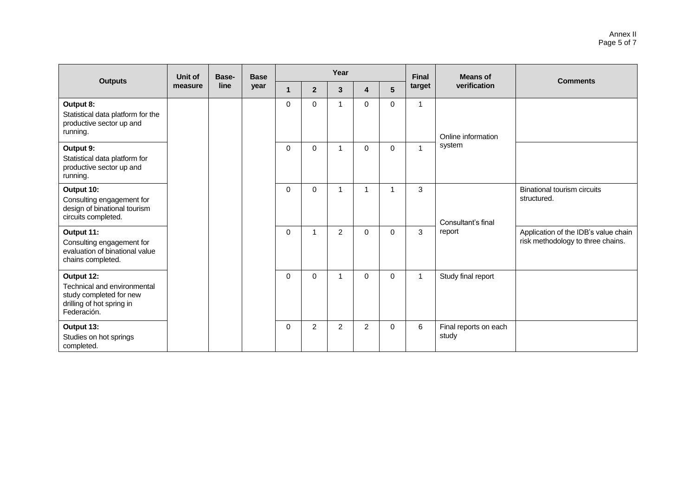|                                                                                                                  | Unit of | Base- | <b>Base</b> |          |                | Year           |                |             | <b>Final</b> | <b>Means of</b>                |                                                                           |
|------------------------------------------------------------------------------------------------------------------|---------|-------|-------------|----------|----------------|----------------|----------------|-------------|--------------|--------------------------------|---------------------------------------------------------------------------|
| <b>Outputs</b>                                                                                                   | measure | line  | year        | 1        | $\overline{2}$ | 3              | 4              | 5           | target       | verification                   | <b>Comments</b>                                                           |
| Output 8:<br>Statistical data platform for the<br>productive sector up and<br>running.                           |         |       |             | 0        | $\mathbf 0$    | 1              | 0              | $\mathbf 0$ | 1            | Online information             |                                                                           |
| Output 9:<br>Statistical data platform for<br>productive sector up and<br>running.                               |         |       |             | $\Omega$ | $\mathbf 0$    | 1              | $\Omega$       | 0           | 1            | system                         |                                                                           |
| Output 10:<br>Consulting engagement for<br>design of binational tourism<br>circuits completed.                   |         |       |             | $\Omega$ | $\Omega$       | 1              | 1              |             | 3            | Consultant's final             | <b>Binational tourism circuits</b><br>structured.                         |
| Output 11:<br>Consulting engagement for<br>evaluation of binational value<br>chains completed.                   |         |       |             | 0        | $\mathbf{1}$   | $\overline{2}$ | $\Omega$       | $\mathbf 0$ | 3            | report                         | Application of the IDB's value chain<br>risk methodology to three chains. |
| Output 12:<br>Technical and environmental<br>study completed for new<br>drilling of hot spring in<br>Federación. |         |       |             | 0        | $\mathbf 0$    | 1              | $\Omega$       | $\mathbf 0$ | $\mathbf{1}$ | Study final report             |                                                                           |
| Output 13:<br>Studies on hot springs<br>completed.                                                               |         |       |             | $\Omega$ | $\overline{c}$ | $\overline{2}$ | $\overline{2}$ | $\Omega$    | 6            | Final reports on each<br>study |                                                                           |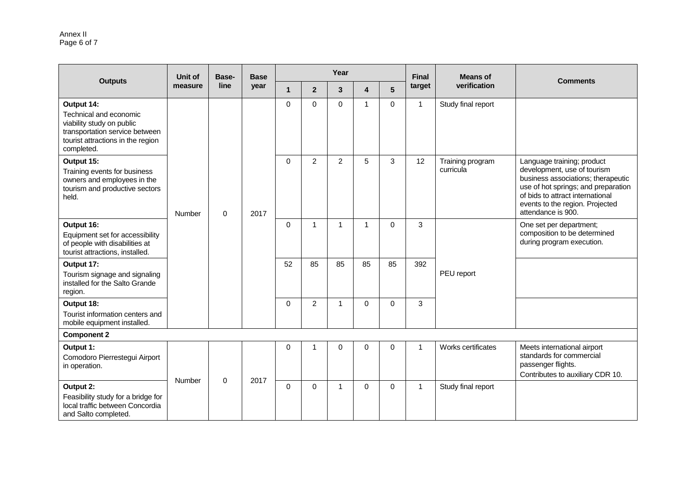#### Annex II Page 6 of 7

|                                                                                                                                                        | Unit of | Base-       | <b>Base</b> |              |                | Year        |          |          | Final        | <b>Means of</b>               |                                                                                                                                                                                                                                     |
|--------------------------------------------------------------------------------------------------------------------------------------------------------|---------|-------------|-------------|--------------|----------------|-------------|----------|----------|--------------|-------------------------------|-------------------------------------------------------------------------------------------------------------------------------------------------------------------------------------------------------------------------------------|
| <b>Outputs</b>                                                                                                                                         | measure | line        | year        | $\mathbf{1}$ | $\overline{2}$ | 3           | 4        | 5        | target       | verification                  | <b>Comments</b>                                                                                                                                                                                                                     |
| Output 14:<br>Technical and economic<br>viability study on public<br>transportation service between<br>tourist attractions in the region<br>completed. |         |             |             | $\mathbf 0$  | $\Omega$       | $\Omega$    | 1        | $\Omega$ | $\mathbf{1}$ | Study final report            |                                                                                                                                                                                                                                     |
| Output 15:<br>Training events for business<br>owners and employees in the<br>tourism and productive sectors<br>held.                                   | Number  | $\mathbf 0$ | 2017        | $\mathbf 0$  | 2              | 2           | 5        | 3        | 12           | Training program<br>curricula | Language training; product<br>development, use of tourism<br>business associations; therapeutic<br>use of hot springs; and preparation<br>of bids to attract international<br>events to the region. Projected<br>attendance is 900. |
| Output 16:<br>Equipment set for accessibility<br>of people with disabilities at<br>tourist attractions, installed.                                     |         |             |             | $\mathbf 0$  | 1              | $\mathbf 1$ | 1        | 0        | 3            | PEU report                    | One set per department;<br>composition to be determined<br>during program execution.                                                                                                                                                |
| Output 17:<br>Tourism signage and signaling<br>installed for the Salto Grande<br>region.                                                               |         |             |             | 52           | 85             | 85          | 85       | 85       | 392          |                               |                                                                                                                                                                                                                                     |
| Output 18:<br>Tourist information centers and<br>mobile equipment installed.                                                                           |         |             |             | 0            | 2              | $\mathbf 1$ | $\Omega$ | $\Omega$ | 3            |                               |                                                                                                                                                                                                                                     |
| <b>Component 2</b>                                                                                                                                     |         |             |             |              |                |             |          |          |              |                               |                                                                                                                                                                                                                                     |
| Output 1:<br>Comodoro Pierrestegui Airport<br>in operation.                                                                                            | Number  | $\mathbf 0$ | 2017        | $\mathbf 0$  | 1              | $\mathbf 0$ | $\Omega$ | 0        | $\mathbf{1}$ | Works certificates            | Meets international airport<br>standards for commercial<br>passenger flights.<br>Contributes to auxiliary CDR 10.                                                                                                                   |
| Output 2:<br>Feasibility study for a bridge for<br>local traffic between Concordia<br>and Salto completed.                                             |         |             |             | $\Omega$     | $\Omega$       | $\mathbf 1$ | $\Omega$ | 0        | $\mathbf{1}$ | Study final report            |                                                                                                                                                                                                                                     |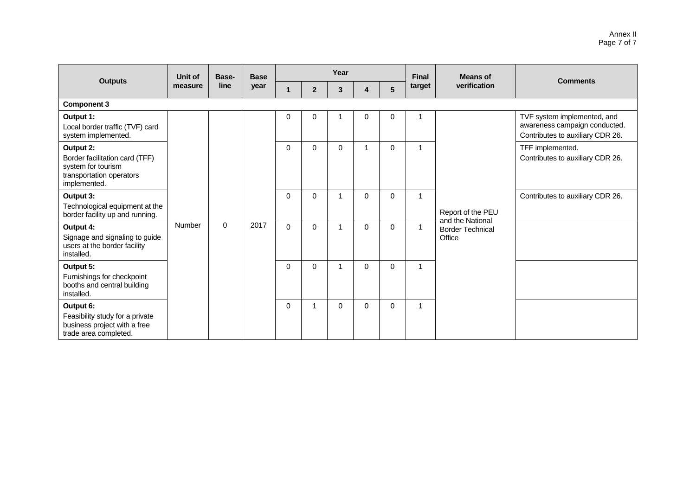|                                                                                                               | Unit of | Base-    | <b>Base</b> | Year     |                |             |          |                 | <b>Final</b> | <b>Means of</b>                                       |                                                                                                  |  |                                                      |
|---------------------------------------------------------------------------------------------------------------|---------|----------|-------------|----------|----------------|-------------|----------|-----------------|--------------|-------------------------------------------------------|--------------------------------------------------------------------------------------------------|--|------------------------------------------------------|
| <b>Outputs</b>                                                                                                | measure | line     | year        |          | $\overline{2}$ | 3           |          | $5\phantom{.0}$ | target       | verification                                          | <b>Comments</b>                                                                                  |  |                                                      |
| <b>Component 3</b>                                                                                            |         |          |             |          |                |             |          |                 |              |                                                       |                                                                                                  |  |                                                      |
| Output 1:<br>Local border traffic (TVF) card<br>system implemented.                                           |         |          |             | 0        | $\mathbf 0$    |             | 0        | 0               | 1            |                                                       | TVF system implemented, and<br>awareness campaign conducted.<br>Contributes to auxiliary CDR 26. |  |                                                      |
| Output 2:<br>Border facilitation card (TFF)<br>system for tourism<br>transportation operators<br>implemented. |         |          |             |          |                | $\Omega$    | 0        | $\mathbf 0$     |              | 0                                                     | 1                                                                                                |  | TFF implemented.<br>Contributes to auxiliary CDR 26. |
| Output 3:<br>Technological equipment at the<br>border facility up and running.                                |         |          |             | $\Omega$ | $\Omega$       |             | $\Omega$ | 0               | 1            | Report of the PEU                                     | Contributes to auxiliary CDR 26.                                                                 |  |                                                      |
| Output 4:<br>Signage and signaling to guide<br>users at the border facility<br>installed.                     | Number  | $\Omega$ | 2017        | $\Omega$ | $\Omega$       |             | $\Omega$ | $\Omega$        | 1            | and the National<br><b>Border Technical</b><br>Office |                                                                                                  |  |                                                      |
| Output 5:<br>Furnishings for checkpoint<br>booths and central building<br>installed.                          |         |          |             | $\Omega$ | $\mathbf 0$    |             | $\Omega$ | 0               | 1            |                                                       |                                                                                                  |  |                                                      |
| Output 6:<br>Feasibility study for a private<br>business project with a free<br>trade area completed.         |         |          |             | $\Omega$ | 1              | $\mathbf 0$ | $\Omega$ | $\mathbf 0$     | 1            |                                                       |                                                                                                  |  |                                                      |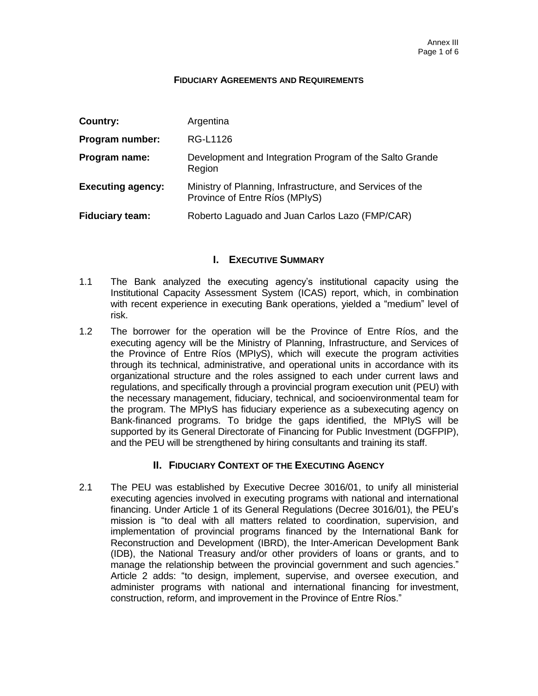#### **FIDUCIARY AGREEMENTS AND REQUIREMENTS**

| Country:                 | Argentina                                                                                   |
|--------------------------|---------------------------------------------------------------------------------------------|
| Program number:          | RG-L1126                                                                                    |
| Program name:            | Development and Integration Program of the Salto Grande<br>Region                           |
| <b>Executing agency:</b> | Ministry of Planning, Infrastructure, and Services of the<br>Province of Entre Ríos (MPIyS) |
| <b>Fiduciary team:</b>   | Roberto Laguado and Juan Carlos Lazo (FMP/CAR)                                              |

## **I. EXECUTIVE SUMMARY**

- 1.1 The Bank analyzed the executing agency's institutional capacity using the Institutional Capacity Assessment System (ICAS) report, which, in combination with recent experience in executing Bank operations, yielded a "medium" level of risk.
- 1.2 The borrower for the operation will be the Province of Entre Ríos, and the executing agency will be the Ministry of Planning, Infrastructure, and Services of the Province of Entre Ríos (MPIyS), which will execute the program activities through its technical, administrative, and operational units in accordance with its organizational structure and the roles assigned to each under current laws and regulations, and specifically through a provincial program execution unit (PEU) with the necessary management, fiduciary, technical, and socioenvironmental team for the program. The MPIyS has fiduciary experience as a subexecuting agency on Bank-financed programs. To bridge the gaps identified, the MPIyS will be supported by its General Directorate of Financing for Public Investment (DGFPIP), and the PEU will be strengthened by hiring consultants and training its staff.

## **II. FIDUCIARY CONTEXT OF THE EXECUTING AGENCY**

2.1 The PEU was established by Executive Decree 3016/01, to unify all ministerial executing agencies involved in executing programs with national and international financing. Under Article 1 of its General Regulations (Decree 3016/01), the PEU's mission is "to deal with all matters related to coordination, supervision, and implementation of provincial programs financed by the International Bank for Reconstruction and Development (IBRD), the Inter-American Development Bank (IDB), the National Treasury and/or other providers of loans or grants, and to manage the relationship between the provincial government and such agencies." Article 2 adds: "to design, implement, supervise, and oversee execution, and administer programs with national and international financing for investment, construction, reform, and improvement in the Province of Entre Ríos."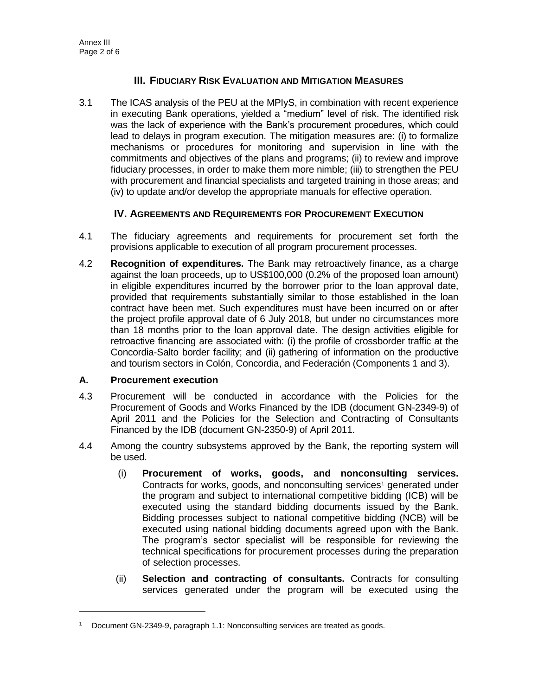## **III. FIDUCIARY RISK EVALUATION AND MITIGATION MEASURES**

3.1 The ICAS analysis of the PEU at the MPIyS, in combination with recent experience in executing Bank operations, yielded a "medium" level of risk. The identified risk was the lack of experience with the Bank's procurement procedures, which could lead to delays in program execution. The mitigation measures are: (i) to formalize mechanisms or procedures for monitoring and supervision in line with the commitments and objectives of the plans and programs; (ii) to review and improve fiduciary processes, in order to make them more nimble; (iii) to strengthen the PEU with procurement and financial specialists and targeted training in those areas; and (iv) to update and/or develop the appropriate manuals for effective operation.

## **IV. AGREEMENTS AND REQUIREMENTS FOR PROCUREMENT EXECUTION**

- 4.1 The fiduciary agreements and requirements for procurement set forth the provisions applicable to execution of all program procurement processes.
- 4.2 **Recognition of expenditures.** The Bank may retroactively finance, as a charge against the loan proceeds, up to US\$100,000 (0.2% of the proposed loan amount) in eligible expenditures incurred by the borrower prior to the loan approval date, provided that requirements substantially similar to those established in the loan contract have been met. Such expenditures must have been incurred on or after the project profile approval date of 6 July 2018, but under no circumstances more than 18 months prior to the loan approval date. The design activities eligible for retroactive financing are associated with: (i) the profile of crossborder traffic at the Concordia-Salto border facility; and (ii) gathering of information on the productive and tourism sectors in Colón, Concordia, and Federación (Components 1 and 3).

## **A. Procurement execution**

- 4.3 Procurement will be conducted in accordance with the Policies for the Procurement of Goods and Works Financed by the IDB (document GN-2349-9) of April 2011 and the Policies for the Selection and Contracting of Consultants Financed by the IDB (document GN-2350-9) of April 2011.
- 4.4 Among the country subsystems approved by the Bank, the reporting system will be used.
	- (i) **Procurement of works, goods, and nonconsulting services.**  Contracts for works, goods, and nonconsulting services<sup>1</sup> generated under the program and subject to international competitive bidding (ICB) will be executed using the standard bidding documents issued by the Bank. Bidding processes subject to national competitive bidding (NCB) will be executed using national bidding documents agreed upon with the Bank. The program's sector specialist will be responsible for reviewing the technical specifications for procurement processes during the preparation of selection processes.
	- (ii) **Selection and contracting of consultants.** Contracts for consulting services generated under the program will be executed using the

<sup>1</sup> Document GN-2349-9, paragraph 1.1: Nonconsulting services are treated as goods.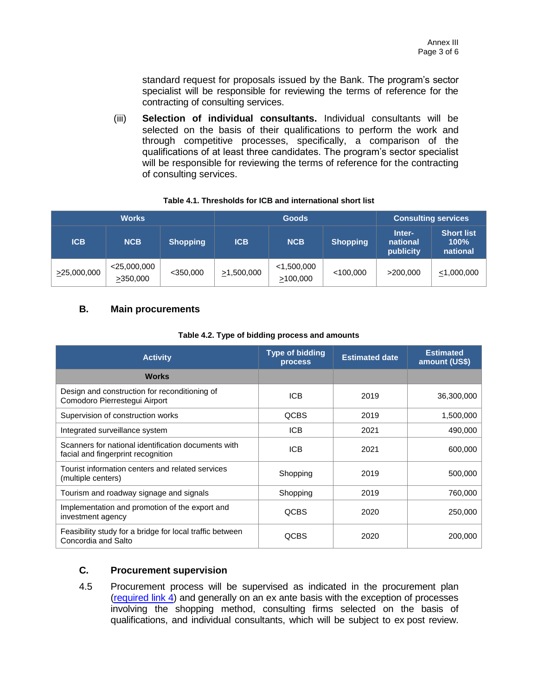standard request for proposals issued by the Bank. The program's sector specialist will be responsible for reviewing the terms of reference for the contracting of consulting services.

(iii) **Selection of individual consultants.** Individual consultants will be selected on the basis of their qualifications to perform the work and through competitive processes, specifically, a comparison of the qualifications of at least three candidates. The program's sector specialist will be responsible for reviewing the terms of reference for the contracting of consulting services.

|                   | <b>Works</b>               |                 |                  | <b>Goods</b>              | <b>Consulting services</b> |                                 |                                       |
|-------------------|----------------------------|-----------------|------------------|---------------------------|----------------------------|---------------------------------|---------------------------------------|
| <b>ICB</b>        | <b>NCB</b>                 | <b>Shopping</b> | <b>ICB</b>       | <b>NCB</b>                | <b>Shopping</b>            | Inter-<br>national<br>publicity | <b>Short list</b><br>100%<br>national |
| $\geq$ 25,000,000 | $<$ 25,000,000<br>>350,000 | $<$ 350,000     | $\geq 1,500,000$ | $<$ 1,500,000<br>>100,000 | $<$ 100,000                | >200,000                        | $\leq 1,000,000$                      |

## **Table 4.1. Thresholds for ICB and international short list**

#### **B. Main procurements**

| <b>Activity</b>                                                                           | <b>Type of bidding</b><br><b>process</b> | <b>Estimated date</b> | <b>Estimated</b><br>amount (US\$) |
|-------------------------------------------------------------------------------------------|------------------------------------------|-----------------------|-----------------------------------|
| <b>Works</b>                                                                              |                                          |                       |                                   |
| Design and construction for reconditioning of<br>Comodoro Pierrestegui Airport            | <b>ICB</b>                               | 2019                  | 36,300,000                        |
| Supervision of construction works                                                         | QCBS                                     | 2019                  | 1,500,000                         |
| Integrated surveillance system                                                            | <b>ICB</b>                               | 2021                  | 490,000                           |
| Scanners for national identification documents with<br>facial and fingerprint recognition | <b>ICB</b>                               | 2021                  | 600,000                           |
| Tourist information centers and related services<br>(multiple centers)                    | Shopping                                 | 2019                  | 500,000                           |
| Tourism and roadway signage and signals                                                   | Shopping                                 | 2019                  | 760,000                           |
| Implementation and promotion of the export and<br>investment agency                       | QCBS                                     | 2020                  | 250,000                           |
| Feasibility study for a bridge for local traffic between<br>Concordia and Salto           | QCBS                                     | 2020                  | 200,000                           |

#### **Table 4.2. Type of bidding process and amounts**

#### **C. Procurement supervision**

4.5 Procurement process will be supervised as indicated in the procurement plan [\(required link](http://idbdocs.iadb.org/wsdocs/getDocument.aspx?DOCNUM=EZSHARE-567986568-23) 4) and generally on an ex ante basis with the exception of processes involving the shopping method, consulting firms selected on the basis of qualifications, and individual consultants, which will be subject to ex post review.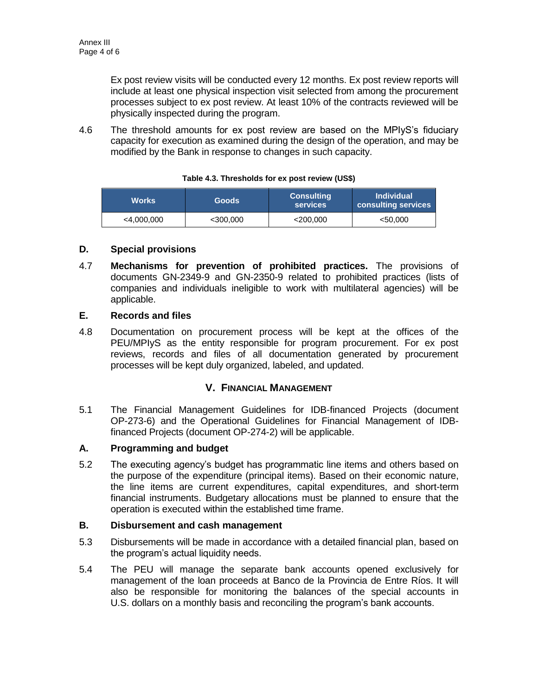Ex post review visits will be conducted every 12 months. Ex post review reports will include at least one physical inspection visit selected from among the procurement processes subject to ex post review. At least 10% of the contracts reviewed will be physically inspected during the program.

4.6 The threshold amounts for ex post review are based on the MPIyS's fiduciary capacity for execution as examined during the design of the operation, and may be modified by the Bank in response to changes in such capacity.

| <b>Works</b>  | <b>Goods</b> | <b>Consulting</b><br><b>services</b> | <b>Individual</b><br>consulting services |  |
|---------------|--------------|--------------------------------------|------------------------------------------|--|
| $<$ 4,000,000 | $<$ 300,000  | $<$ 200,000                          | $<$ 50,000                               |  |

#### **Table 4.3. Thresholds for ex post review (US\$)**

## **D. Special provisions**

4.7 **Mechanisms for prevention of prohibited practices.** The provisions of documents GN-2349-9 and GN-2350-9 related to prohibited practices (lists of companies and individuals ineligible to work with multilateral agencies) will be applicable.

## **E. Records and files**

4.8 Documentation on procurement process will be kept at the offices of the PEU/MPIyS as the entity responsible for program procurement. For ex post reviews, records and files of all documentation generated by procurement processes will be kept duly organized, labeled, and updated.

## **V. FINANCIAL MANAGEMENT**

5.1 The Financial Management Guidelines for IDB-financed Projects (document OP-273-6) and the Operational Guidelines for Financial Management of IDBfinanced Projects (document OP-274-2) will be applicable.

#### **A. Programming and budget**

5.2 The executing agency's budget has programmatic line items and others based on the purpose of the expenditure (principal items). Based on their economic nature, the line items are current expenditures, capital expenditures, and short-term financial instruments. Budgetary allocations must be planned to ensure that the operation is executed within the established time frame.

#### **B. Disbursement and cash management**

- 5.3 Disbursements will be made in accordance with a detailed financial plan, based on the program's actual liquidity needs.
- 5.4 The PEU will manage the separate bank accounts opened exclusively for management of the loan proceeds at Banco de la Provincia de Entre Ríos. It will also be responsible for monitoring the balances of the special accounts in U.S. dollars on a monthly basis and reconciling the program's bank accounts.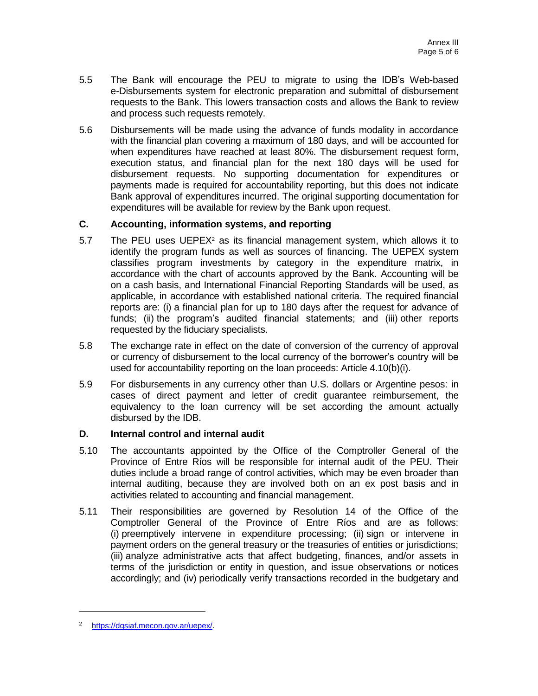- 5.5 The Bank will encourage the PEU to migrate to using the IDB's Web-based e-Disbursements system for electronic preparation and submittal of disbursement requests to the Bank. This lowers transaction costs and allows the Bank to review and process such requests remotely.
- 5.6 Disbursements will be made using the advance of funds modality in accordance with the financial plan covering a maximum of 180 days, and will be accounted for when expenditures have reached at least 80%. The disbursement request form, execution status, and financial plan for the next 180 days will be used for disbursement requests. No supporting documentation for expenditures or payments made is required for accountability reporting, but this does not indicate Bank approval of expenditures incurred. The original supporting documentation for expenditures will be available for review by the Bank upon request.

## **C. Accounting, information systems, and reporting**

- 5.7 The PEU uses UEPE $X^2$  as its financial management system, which allows it to identify the program funds as well as sources of financing. The UEPEX system classifies program investments by category in the expenditure matrix, in accordance with the chart of accounts approved by the Bank. Accounting will be on a cash basis, and International Financial Reporting Standards will be used, as applicable, in accordance with established national criteria. The required financial reports are: (i) a financial plan for up to 180 days after the request for advance of funds; (ii) the program's audited financial statements; and (iii) other reports requested by the fiduciary specialists.
- 5.8 The exchange rate in effect on the date of conversion of the currency of approval or currency of disbursement to the local currency of the borrower's country will be used for accountability reporting on the loan proceeds: Article 4.10(b)(i).
- 5.9 For disbursements in any currency other than U.S. dollars or Argentine pesos: in cases of direct payment and letter of credit guarantee reimbursement, the equivalency to the loan currency will be set according the amount actually disbursed by the IDB.

#### **D. Internal control and internal audit**

- 5.10 The accountants appointed by the Office of the Comptroller General of the Province of Entre Ríos will be responsible for internal audit of the PEU. Their duties include a broad range of control activities, which may be even broader than internal auditing, because they are involved both on an ex post basis and in activities related to accounting and financial management.
- 5.11 Their responsibilities are governed by Resolution 14 of the Office of the Comptroller General of the Province of Entre Ríos and are as follows: (i) preemptively intervene in expenditure processing; (ii) sign or intervene in payment orders on the general treasury or the treasuries of entities or jurisdictions; (iii) analyze administrative acts that affect budgeting, finances, and/or assets in terms of the jurisdiction or entity in question, and issue observations or notices accordingly; and (iv) periodically verify transactions recorded in the budgetary and

<sup>2</sup> [https://dgsiaf.mecon.gov.ar/uepex/.](https://dgsiaf.mecon.gov.ar/uepex/)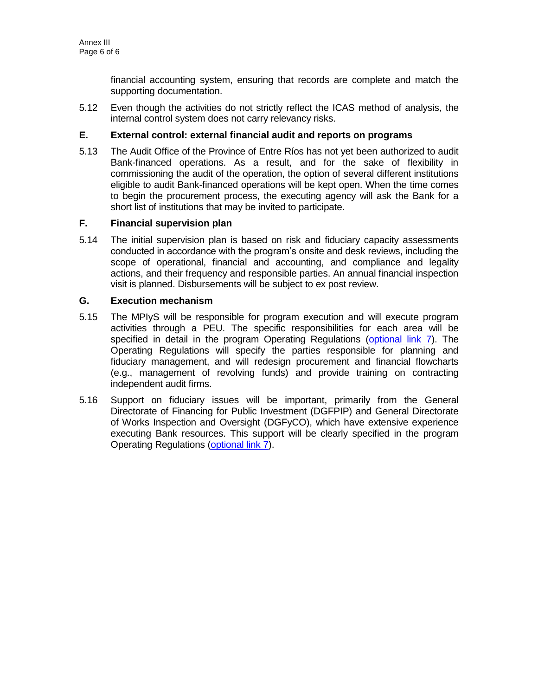financial accounting system, ensuring that records are complete and match the supporting documentation.

5.12 Even though the activities do not strictly reflect the ICAS method of analysis, the internal control system does not carry relevancy risks.

## **E. External control: external financial audit and reports on programs**

5.13 The Audit Office of the Province of Entre Ríos has not yet been authorized to audit Bank-financed operations. As a result, and for the sake of flexibility in commissioning the audit of the operation, the option of several different institutions eligible to audit Bank-financed operations will be kept open. When the time comes to begin the procurement process, the executing agency will ask the Bank for a short list of institutions that may be invited to participate.

## **F. Financial supervision plan**

5.14 The initial supervision plan is based on risk and fiduciary capacity assessments conducted in accordance with the program's onsite and desk reviews, including the scope of operational, financial and accounting, and compliance and legality actions, and their frequency and responsible parties. An annual financial inspection visit is planned. Disbursements will be subject to ex post review.

#### **G. Execution mechanism**

- 5.15 The MPIyS will be responsible for program execution and will execute program activities through a PEU. The specific responsibilities for each area will be specified in detail in the program Operating Regulations [\(optional link 7\)](http://idbdocs.iadb.org/wsdocs/getDocument.aspx?DOCNUM=EZSHARE-567986568-13). The Operating Regulations will specify the parties responsible for planning and fiduciary management, and will redesign procurement and financial flowcharts (e.g., management of revolving funds) and provide training on contracting independent audit firms.
- 5.16 Support on fiduciary issues will be important, primarily from the General Directorate of Financing for Public Investment (DGFPIP) and General Directorate of Works Inspection and Oversight (DGFyCO), which have extensive experience executing Bank resources. This support will be clearly specified in the program Operating Regulations [\(optional](http://idbdocs.iadb.org/wsdocs/getDocument.aspx?DOCNUM=EZSHARE-567986568-13) link 7).